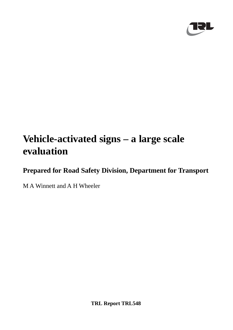

# **Vehicle-activated signs – a large scale evaluation**

**Prepared for Road Safety Division, Department for Transport**

M A Winnett and A H Wheeler

**TRL Report TRL548**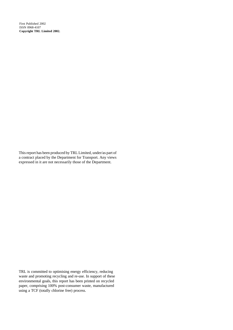First Published 2002 ISSN 0968-4107 **Copyright TRL Limited 2002.**

This report has been produced by TRL Limited, under/as part of a contract placed by the Department for Transport. Any views expressed in it are not necessarily those of the Department.

TRL is committed to optimising energy efficiency, reducing waste and promoting recycling and re-use. In support of these environmental goals, this report has been printed on recycled paper, comprising 100% post-consumer waste, manufactured using a TCF (totally chlorine free) process.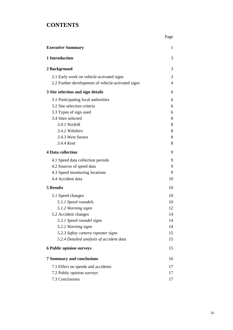## **CONTENTS**

| <b>Executive Summary</b>                           | 1  |
|----------------------------------------------------|----|
| 1 Introduction                                     | 3  |
| 2 Background                                       | 3  |
| 2.1 Early work on vehicle-activated signs          | 3  |
| 2.2 Further development of vehicle-activated signs | 4  |
| 3 Site selection and sign details                  | 6  |
| 3.1 Participating local authorities                | 6  |
| 3.2 Site selection criteria                        | 6  |
| 3.3 Types of sign used                             | 6  |
| 3.4 Sites selected                                 | 8  |
| 3.4.1 Norfolk                                      | 8  |
| 3.4.2 Wiltshire                                    | 8  |
| 3.4.3 West Sussex                                  | 8  |
| 3.4.4 Kent                                         | 8  |
| <b>4 Data collection</b>                           | 9  |
| 4.1 Speed data collection periods                  | 9  |
| 4.2 Sources of speed data                          | 9  |
| 4.3 Speed monitoring locations                     | 9  |
| 4.4 Accident data                                  | 10 |
| <b>5 Results</b>                                   | 10 |
| 5.1 Speed changes                                  | 10 |
| 5.1.1 Speed roundels                               | 10 |
| 5.1.2 Warning signs                                | 12 |
| 5.2 Accident changes                               | 14 |
| 5.2.1 Speed roundel signs                          | 14 |
| 5.2.2 Warning signs                                | 14 |
| 5.2.3 Safety camera repeater signs                 | 15 |
| 5.2.4 Detailed analysis of accident data           | 15 |
| <b>6 Public opinion surveys</b>                    | 15 |
| <b>7 Summary and conclusions</b>                   | 16 |
| 7.1 Effect on speeds and accidents                 | 17 |
| 7.2 Public opinion surveys                         | 17 |
| 7.3 Conclusions                                    | 17 |

Page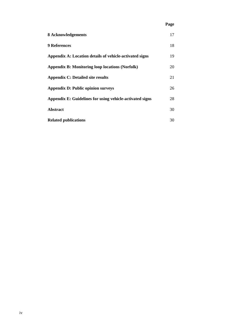## **Page**

| 8 Acknowledgements                                       | 17 |
|----------------------------------------------------------|----|
| <b>9 References</b>                                      | 18 |
| Appendix A: Location details of vehicle-activated signs  | 19 |
| <b>Appendix B: Monitoring loop locations (Norfolk)</b>   | 20 |
| <b>Appendix C: Detailed site results</b>                 | 21 |
| <b>Appendix D: Public opinion surveys</b>                | 26 |
| Appendix E: Guidelines for using vehicle-activated signs | 28 |
| <b>Abstract</b>                                          | 30 |
| <b>Related publications</b>                              | 30 |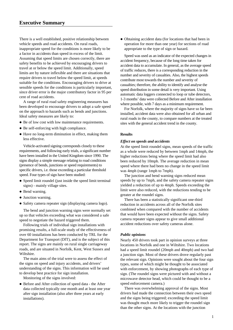There is a well established, positive relationship between vehicle speeds and road accidents. On rural roads, inappropriate speed for the conditions is more likely to be a factor in accidents than speed in excess of the limit. Assuming that speed limits are chosen correctly, there are safety benefits to be achieved by encouraging drivers to travel at or below the speed limit. Additionally, speed limits are by nature inflexible and there are situations that require drivers to travel below the speed limit, at speeds suitable for the conditions. Encouraging drivers to drive at sensible speeds for the conditions is particularly important, since driver error is the major contributory factor in 95 per cent of road accidents.

A range of rural road safety engineering measures has been developed to encourage drivers to adopt a safe speed on the approach to hazards such as bends and junctions. Ideal safety measures are likely to:

- Be of low cost with low maintenance requirements.
- Be self-enforcing with high compliance.
- Have no long-term diminution in effect, making them less effective.

Vehicle-activated signing corresponds closely to these requirements, and following early trials, a significant number have been installed in the United Kingdom since 1990. The signs display a simple message relating to road conditions (presence of bends, junctions or speed requirements) to specific drivers, i.e. those exceeding a particular threshold speed. Four types of sign have been studied:

- Speed limit roundel (just inside the speed limit terminal signs) - mainly village sites.
- Bend warning.
- Junction warning.
- Safety camera repeater sign (displaying camera logo).

The bend and junction warning signs were normally set up so that vehicles exceeding what was considered a safe speed to negotiate the hazard triggered them.

Following trials of individual sign installations with promising results, a full-scale study of the effectiveness of over 60 installations has been conducted by TRL for the Department for Transport (DfT), and is the subject of this report. The signs are mainly on rural single carriageway roads, and are situated in Norfolk, Kent, West Sussex and Wiltshire.

The main aims of the trial were to assess the effect of the signs on speed and injury accidents, and drivers' understanding of the signs. This information will be used to develop best practice for sign installation.

Monitoring of the signs involved:

 Before and After collection of speed data - the After data collected typically one month and at least one year after sign installation (also after three years at early installations).

 Obtaining accident data (for locations that had been in operation for more than one year) for sections of road appropriate to the type of sign or hazard.

Speed was used as an indicator of the expected changes in accident frequency, because of the long time taken for accident data to accumulate. In general, as the average speed of traffic reduces, there is a corresponding reduction in the number and severity of casualties. Also, the highest speeds contribute most towards the number and severity of casualties; therefore, the ability to identify and analyse the speed distribution in some detail is very important. Using automatic data loggers connected to loop or tube detectors, 1-3 months' data were collected Before and After installation where possible, with 7 days as a minimum requirement.

For Norfolk, where the majority of signs have so far been installed, accident data were also obtained for all urban and rural roads in the county, to compare numbers at the treated sites with the general accident trend in the county.

#### **Results**

#### *Effect on speeds and accidents*

At the speed limit roundel signs, mean speeds of the traffic as a whole were reduced by between 1mph and 14mph, the higher reductions being where the speed limit had also been reduced by 10mph. The average reduction in mean speed where there had been no change in the speed limit was 4mph (range 1mph to 7mph).

The junction and bend warning signs reduced mean speeds by up to 7mph, and the safety camera repeater signs yielded a reduction of up to 4mph. Speeds exceeding the limit were also reduced, with the reductions tending to be greater at the roundel signs.

There has been a statistically significant one-third reduction in accidents across all of the Norfolk sites combined when compared with the number of accidents that would have been expected without the signs. Safety camera repeater signs appear to give small additional accident reductions over safety cameras alone.

#### *Public opinions*

Nearly 450 drivers took part in opinion surveys at three locations in Norfolk and one in Wiltshire. Two locations had a speed limit roundel (20mph and 40mph) and two had a junction sign. Most of these drivers drove regularly past the relevant sign. Opinions were sought about the four sign types, some of which might be thought to be associated with enforcement, by showing photographs of each type of sign. (The roundel signs were pictured with and without a microwave detector head, which could be thought to be a speed enforcement camera.)

There was overwhelming approval of the signs. Most drivers had made the connection between their own speed and the signs being triggered; exceeding the speed limit was thought much more likely to trigger the roundel sign than the other signs. At the locations with the junction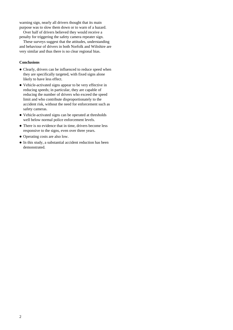warning sign, nearly all drivers thought that its main purpose was to slow them down or to warn of a hazard.

Over half of drivers believed they would receive a penalty for triggering the safety camera repeater sign.

These surveys suggest that the attitudes, understanding and behaviour of drivers in both Norfolk and Wiltshire are very similar and thus there is no clear regional bias.

#### **Conclusions**

- Clearly, drivers can be influenced to reduce speed when they are specifically targeted, with fixed signs alone likely to have less effect.
- Vehicle-activated signs appear to be very effective in reducing speeds; in particular, they are capable of reducing the number of drivers who exceed the speed limit and who contribute disproportionately to the accident risk, without the need for enforcement such as safety cameras.
- Vehicle-activated signs can be operated at thresholds well below normal police enforcement levels.
- There is no evidence that in time, drivers become less responsive to the signs, even over three years.
- Operating costs are also low.
- In this study, a substantial accident reduction has been demonstrated.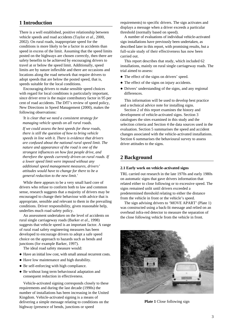## **1 Introduction**

There is a well established, positive relationship between vehicle speeds and road accidents (Taylor *et al*., 2000, 2002). On rural roads, inappropriate speed for the conditions is more likely to be a factor in accidents than speed in excess of the limit. Assuming that the speed limits posted on the highways are chosen correctly, then there are safety benefits to be achieved by encouraging drivers to travel at or below the speed limit. Additionally, speed limits are by nature inflexible and there are occasions and locations along the road network that require drivers to adopt speeds that are below the posted speed, that is, speeds suitable for the local conditions.

Encouraging drivers to make sensible speed choices with regard for local conditions is particularly important. since driver error is the major contributory factor in 95 per cent of road accidents. The DfT's review of speed policy, New Directions in Speed Management (2000), makes the following observations:

*'It is clear that we need a consistent strategy for managing vehicle speeds on all rural roads.*

*If we could assess the best speeds for these roads, there is still the question of how to bring vehicle speeds in line with it. There is evidence that drivers are confused about the national rural speed limit. The nature and appearance of the road is one of the strongest influences on how fast people drive, and therefore the speeds currently driven on rural roads. If a lower speed limit were imposed without any additional speed management measures, drivers' attitudes would have to change for there to be a general reduction to the new limit.'*

While there appears to be a very small hard core of drivers who refuse to conform both to law and common sense, research suggests that a majority of drivers may be encouraged to change their behaviour with advice that is appropriate, sensible and relevant to them in the prevailing conditions. Driver responsibility, given reasonable help, underlies much road safety policy.

An assessment undertaken on the level of accidents on rural single carriageway roads (Barker *et al*., 1998) suggests that vehicle speed is an important factor. A range of rural road safety engineering measures has been developed to encourage drivers to adopt a safe speed choice on the approach to hazards such as bends and junctions (for example Barker, 1997).

The ideal road safety measure would:

- Have an initial low cost, with small annual recurrent costs.
- Have low maintenance and high durability.
- Be self-enforcing with high compliance.
- Be without long term behavioural adaptation and consequent reduction in effectiveness.

Vehicle-activated signing corresponds closely to these requirements and during the last decade (1990s) the number of installations has been increasing in the United Kingdom. Vehicle-activated signing is a means of delivering a simple message relating to conditions on the highway (presence of bends, junctions or speed

requirements) to specific drivers. The sign activates and displays a message when a driver exceeds a particular threshold (normally based on speed).

A number of evaluations of individual vehicle-activated sign installations have previously been undertaken, as described later in this report, with promising results, but a full-scale study of their effectiveness has now been carried out.

This report describes that study, which included 62 installations, mainly on rural single carriageway roads. The trial aimed to assess:

- The effect of the signs on drivers' speed.
- The effect of the signs on injury accidents.
- Drivers' understanding of the signs, and any regional differences.

This information will be used to develop best practice and a technical advice note for installing signs.

Section 2 of this report examines the history and development of vehicle-activated signs. Section 3 catalogues the sites examined in this study and the selection criteria and Section 4 the data sources used in the evaluation. Section 5 summarises the speed and accident changes associated with the vehicle-activated installations. Section 6 summarises the behavioural survey to assess driver attitudes to the signs.

## **2 Background**

#### **2.1 Early work on vehicle-activated signs**

TRL carried out research in the late 1970s and early 1980s on automatic signs that gave drivers information that related either to close following or to excessive speed. The signs remained unlit until drivers exceeded a predetermined threshold relating to either the distance from the vehicle in front or the vehicle's speed.

The sign advising drivers to 'MOVE APART' (Plate 1) was constructed using a back-lit message and relied on an overhead infra-red detector to measure the separation of the close following vehicle from the vehicle in front.



**Plate 1** Close following sign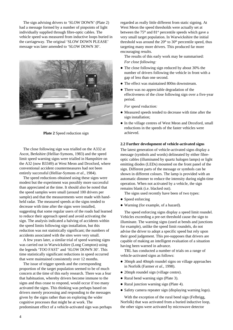The sign advising drivers to 'SLOW DOWN' (Plate 2) had a message formed by a number of pinpoints of light individually supplied through fibre-optic cables. The vehicle speed was measured from inductive loops buried in the carriageway. The original 'SLOW DOWN PLEASE' message was later amended to 'SLOW DOWN 30'.



**Plate 2** Speed reduction sign

The close following sign was trialled on the A332 at Ascot, Berkshire (Helliar-Symons, 1983) and the speed limit speed warning signs were trialled in Hampshire on the A32 (now B3349) at West Meon and Droxford, where conventional accident countermeasures had not been entirely successful (Helliar-Symons *et al*., 1984).

The speed reductions obtained using these signs were modest but the experiment was possibly more successful than appreciated at the time. It should also be noted that the speed samples were small (around 100 drivers per sample) and that the measurements were made with handheld radar. The measured speeds at the signs tended to decrease with time after the signs were installed, suggesting that some regular users of the roads had learned to reduce their approach speed and avoid activating the sign. The analysis indicated a halving of accidents within the speed limits following sign installation, but this reduction was not statistically significant; the numbers of accidents associated with the sites were very small.

A few years later, a similar trial of speed warning signs was carried out in Warwickshire (Long Compton) using the legends 'TOO FAST' and 'SLOW DOWN 30'. This time statistically significant reductions in speed occurred that were maintained consistently over 12 months.

The issue of trigger speeds and the corresponding proportion of the target population seemed to be of much concern at the time of this early research. There was a fear that habituation, whereby drivers become immune to the signs and thus cease to respond, would occur if too many activated the signs. This thinking was perhaps based on drivers merely processing and responding to the messages given by the signs rather than on exploring the wider cognitive processes that might be at work. The predominant effect of a vehicle-activated sign was perhaps regarded as really little different from static signing. At West Meon the speed thresholds were actually set at between the  $75<sup>th</sup>$  and  $81<sup>st</sup>$  percentile speeds which gave a very small target population. In Warwickshire the initial threshold was around the  $20<sup>th</sup>$  to  $30<sup>th</sup>$  percentile speed, thus targeting many more drivers. This produced far more encouraging results.

The results of this early work may be summarised: *For close following:*

- The close following sign reduced by about 30% the number of drivers following the vehicle in front with a gap of less than one second.
- The effect was maintained 800m downstream.
- There was no appreciable degradation of the effectiveness of the close following sign over a five-year period.

*For speed reduction:*

- Measured speeds tended to decrease with time after the sign installation;
- In the village centres of West Meon and Droxford, small reductions in the speeds of the faster vehicles were achieved.

#### **2.2 Further development of vehicle-activated signs**

The latest generation of vehicle-activated signs display a message (symbols and words) delineated by either fibreoptic cables (illuminated by quartz halogen lamps) or light emitting diodes (LEDs) mounted on the front panel of the sign. Different parts of the message or symbols can be shown in different colours. The lamp is provided with an automatic dimmer to reduce the intensity during night-time operation. When not activated by a vehicle, the sign remains blank (i.e. blacked out).

The signs used recently have been of two types:

- Speed enforcing
- Warning (for example, of a hazard).

The speed enforcing signs display a speed limit roundel. Vehicles exceeding a pre-set threshold cause the sign to illuminate. The warning signs (used at bends and junctions for example), unlike the speed limit roundels, do not advise the driver to adopt a specific speed but rely upon their good judgement. This pre-supposes that drivers are capable of making an intelligent evaluation of a situation having been warned in advance.

TRL has conducted a number of trials on a range of vehicle-activated signs as follows:

- 30mph and 40mph roundel signs on village approaches in Norfolk (Farmer *et al.*, 1998).
- 20mph roundel sign (village centre).
- Rural bend warning sign (Plate 3).
- Rural junction warning sign (Plate 4).
- Safety camera repeater sign (displaying warning logo).

With the exception of the rural bend sign (Felbrigg, Norfolk) that was activated from a buried inductive loop, the other signs were activated by microwave detector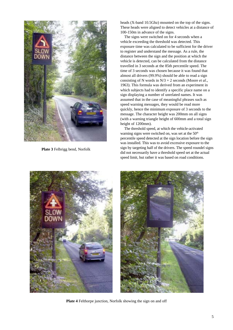

**Plate 3** Felbrigg bend, Norfolk

heads (X-band 10.5Ghz) mounted on the top of the signs. These heads were aligned to detect vehicles at a distance of 100-150m in advance of the signs.

The signs were switched on for 4 seconds when a vehicle exceeding the threshold was detected. This exposure time was calculated to be sufficient for the driver to register and understand the message. As a rule, the distance between the sign and the position at which the vehicle is detected, can be calculated from the distance travelled in 3 seconds at the 85th percentile speed. The time of 3 seconds was chosen because it was found that almost all drivers (99.9%) should be able to read a sign consisting of N words in N/3 + 2 seconds (Moore *et al*., 1963). This formula was derived from an experiment in which subjects had to identify a specific place name on a sign displaying a number of unrelated names. It was assumed that in the case of meaningful phrases such as speed warning messages, they would be read more quickly, hence the minimum exposure of 3 seconds to the message. The character height was 200mm on all signs (with a warning triangle height of 600mm and a total sign height of 1200mm).

The threshold speed, at which the vehicle-activated warning signs were switched on, was set at the 50<sup>th</sup> percentile speed detected at the sign location before the sign was installed. This was to avoid excessive exposure to the sign by targeting half of the drivers. The speed roundel signs did not necessarily have a threshold speed set at the actual speed limit, but rather it was based on road conditions.





**Plate 4** Felthorpe junction, Norfolk showing the sign on and off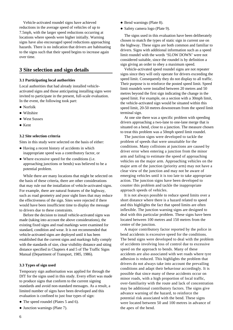Vehicle-activated roundel signs have achieved reductions in the average speed of vehicles of up to 7.5mph, with the larger speed reductions occurring at locations where speeds were higher initially. Warning signs have also encouraged speed reductions approaching hazards. There is no indication that drivers are habituating to the signs such that their speed begins to increase again over time.

## **3 Site selection and sign details**

#### **3.1 Participating local authorities**

Local authorities that had already installed vehicleactivated signs and those anticipating installing signs were invited to participate in the present, full-scale evaluation. In the event, the following took part:

- Norfolk
- Wiltshire
- **West Sussex**
- $\bullet$  Kent

#### **3.2 Site selection criteria**

Sites in this study were selected on the basis of either:

- Having a recent history of accidents in which inappropriate speed was a contributory factor, or
- Where excessive speed for the conditions (i.e. approaching junctions or bends) was believed to be a potential problem.

While there are many locations that might be selected on the basis of these criteria, there are other considerations that may rule out the installation of vehicle-activated signs. For example, there are natural features of the highway, such as road geometry and poor sight lines that may reduce the effectiveness of the sign. Sites were rejected if there would have been insufficient time to display the message to drivers due to these constraints.

Before the decision to install vehicle-activated signs was made (taking into account the above considerations), the existing fixed signs and road markings were examined for standard, condition and wear. It is not recommended that vehicle-activated signs are deployed until it has been established that the current signs and markings fully comply with the standards of size, clear visibility distance and siting distance specified in Chapters 4 and 5 of The Traffic Signs Manual (Department of Transport, 1985, 1986).

#### **3.3 Types of sign used**

Temporary sign authorisation was applied for through the DfT for the signs used in this study. Every effort was made to produce signs that conform to the current signing standards and avoid non-standard messages. As a result, a limited number of signs have been developed and this evaluation is confined to just four types of sign:

- The speed roundel (Plates 5 and 6).
- Junction warnings (Plate 7).
- Bend warnings (Plate 8).
- Safety camera logo (Plate 9).

The signs used in this evaluation have been deliberately chosen to match the types of static sign in current use on the highway. These signs are both common and familiar to drivers. Signs with additional information such as a speed limit roundel with the words 'SLOW DOWN' were not considered suitable, since the roundel is by definition a sign giving an order to obey a maximum speed.

Vehicle-activated speed roundel signs are not repeater signs since they will only operate for drivers exceeding the speed limit. Consequently they do not display to all traffic. Their purpose is to reinforce the posted speed limit. Speed limit roundels were installed between 20 metres and 50 metres beyond the first sign indicating the change in the speed limit. For example, on a section with a 30mph limit, the vehicle-activated sign would be situated within this speed limit, 20-50 metres downstream from the speed limit terminal sign.

At one site there was a specific problem with speeding drivers approaching a two-lane to one-lane merge that is situated on a bend, close to a junction. The measure chosen to treat this problem was a 50mph speed limit roundel.

The junction signs were developed to tackle the problem of speeds that were unsuitable for the conditions. Many collisions at junctions are caused by driver error when entering a junction from the minor arm and failing to estimate the speed of approaching vehicles on the major arm. Approaching vehicles on the major arm of the junction (priority arm) may not have a clear view of the junction and may not be aware of emerging vehicles until it is too late to take appropriate action. The junction signs have been developed to counter this problem and tackle the inappropriate approach speeds of vehicles.

It is not always possible to reduce speed limits over a short distance where there is a hazard related to speed and this highlights the fact that speed limits are often inflexible. The junction warning signs are designed to deal with this particular problem. These signs have been located between 100 metres and 150 metres from the centre of the junction.

A major contributory factor reported by the police in bend accidents is excessive speed for the conditions. The bend signs were developed to deal with the problem of accidents involving loss of control due to excessive speed on the approach to bends. Many of these accidents are also associated with wet roads where tyre adhesion is reduced. This highlights the problem that drivers do not always take into account the prevailing conditions and adapt their behaviour accordingly. It is possible that since many of these accidents occur on minor roads, with a high proportion of local traffic, over-familiarity with the route and lack of concentration may be additional contributory factors. The signs give advance warning of the hazard, to reinforce the potential risk associated with the bend. These signs were located between 50 and 100 metres in advance of the apex of the bend.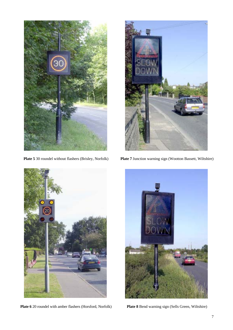

**Plate 5** 30 roundel without flashers (Brisley, Norfolk)



**Plate 7** Junction warning sign (Wootton Bassett, Wiltshire)



**Plate 6** 20 roundel with amber flashers (Horsford, Norfolk)



**Plate 8** Bend warning sign (Sells Green, Wiltshire)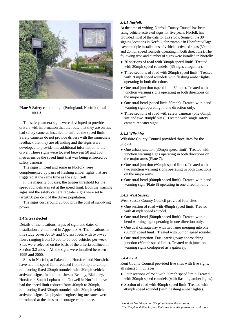

**Plate 9** Safety camera logo (Poringland, Norfolk (detail inset)

The safety camera signs were developed to provide drivers with information that the route that they are on has had safety cameras installed to enforce the speed limit. Safety cameras do not provide drivers with the immediate feedback that they are offending and the signs were developed to provide this additional information to the driver. These signs were located between 50 and 150 metres inside the speed limit that was being enforced by safety cameras.

The signs in Kent and some in Norfolk were complemented by pairs of flashing amber lights that are triggered at the same time as the sign itself.

In the majority of cases, the trigger threshold for the speed roundels was set at the speed limit. Both the warning signs and the safety camera repeater signs were set to target 50 per cent of the driver population.

The signs cost around  $£5,000$  plus the cost of supplying power.

#### **3.4 Sites selected**

Details of the locations, types of sign, and dates of installation are included in Appendix A. The locations in this study cover A-, B- and C-class roads with two-way flows ranging from 10,000 to 60,000 vehicles per week. Sites were selected on the basis of the criteria outlined in Section 3.2 above. All the signs were installed between 1995 and 2000.

Sites in Norfolk, at Fakenham, Horsford and Norwich, have had the speed limit reduced from 30mph to 20mph, reinforcing fixed 20mph roundels with 20mph vehicleactivated signs. In addition sites at Beetley, Blakeney, Horsford<sup>1</sup>, South Lopham and Outwell in Norfolk, have had the speed limit reduced from 40mph to 30mph, reinforcing fixed 30mph roundels with 30mph vehicleactivated signs. No physical engineering measures were introduced at the sites to encourage compliance.

#### *3.4.1 Norfolk*

At the time of writing, Norfolk County Council has been using vehicle-activated signs for five years. Norfolk has provided most of the data for this study. Some of the 30 signing locations in Norfolk, for example in Horsford village, have multiple installations of vehicle-activated signs (30mph and 20mph speed roundels operating in both directions). The following type and number of signs were installed in Norfolk:

- 20 sections of road with 30mph speed limit<sup>2</sup>. Treated with 30mph speed roundels. (35 signs altogether).
- Three sections of road with 20mph speed limit<sup>2</sup>. Treated with 20mph speed roundels with flashing amber lights, operating in both directions.
- One rural junction (speed limit 60mph). Treated with junction warning signs operating in both directions on the major arm.
- One rural bend (speed limit 30mph). Treated with bend warning sign operating in one direction only.
- Three sections of road with safety cameras (one 60mph) site and two 30mph<sup>2</sup> sites). Treated with single safety camera repeater signs.

#### *3.4.2 Wiltshire*

Wiltshire County Council provided three sites for the project:

- One urban junction (30mph speed limit). Treated with junction warning signs operating in both directions on the major arms (Plate 7).
- One rural junction (60mph speed limit). Treated with two junction warning signs operating in both directions on the major arms.
- One rural bend (60mph speed limit). Treated with bend warning sign (Plate 8) operating in one direction only.

#### *3.4.3 West Sussex*

West Sussex County Council provided four sites:

- $\bullet$  One section of road with 40mph speed limit. Treated with 40mph speed roundel.
- One rural bend (50mph speed limit). Treated with a bend warning sign operating in one direction only.
- One dual carriageway with two lanes merging into one (50mph speed limit). Treated with 50mph speed roundel.
- One rural junction. Dual carriageway approaching junction (60mph speed limit). Treated with junction warning signs configured as a gateway.

#### *3.4.4 Kent*

Kent County Council provided five sites with five signs, all situated in villages:

- Four sections of road with 30mph speed limit. Treated with 30mph speed roundels (with flashing amber lights).
- Section of road with 40mph speed limit. Treated with 40mph speed roundel (with flashing amber lights).

*<sup>1</sup> Horsford has 20mph and 30mph vehicle-activated signs.*

*<sup>2</sup> The 20mph and 30mph speed limits are in built-up areas on rural roads.*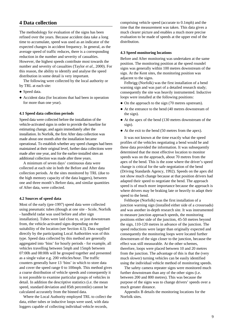## **4 Data collection**

The methodology for evaluation of the signs has been refined over the years. Because accident data take a long time to accumulate, speed was used as an indicator of the expected changes in accident frequency. In general, as the average speed of traffic reduces, there is a corresponding reduction in the number and severity of casualties. However, the highest speeds contribute most towards the number and severity of casualties (Taylor *et al.*, 2000). For this reason, the ability to identify and analyse the speed distribution in some detail is very important.

The following were collected by the local authority or by TRL at each site:

- Speed data.
- Accident data (for locations that had been in operation for more than one year).

#### **4.1 Speed data collection periods**

Speed data were collected before the installation of the vehicle-activated signs in order to provide the baseline for estimating change, and again immediately after the installation. In Norfolk, the first After data collection was made about one month after the installation became operational. To establish whether any speed changes had been maintained at their original level, further data collections were made after one year, and for the earlier-installed sites an additional collection was made after three years.

A minimum of seven days' continuous data were collected at each site in both the Before and After data collection periods. At the sites monitored by TRL (due to the high memory capacity of the data loggers), between one and three month's Before data, and similar quantities of After data, were collected.

#### **4.2 Sources of speed data**

Most of the early (pre-1997) speed data were collected using pneumatic tubes (though at one site - Scole, Norfolk - handheld radar was used before and after sign installation). Tubes were laid close to, or just downstream from, the vehicle-activated signs depending on the suitability of the location (see Section 4.3). Data supplied directly by the participating Local Authorities was of this type. Speed data collected by this method are generally aggregated into 'bins' for hourly periods - for example, all vehicles travelling between 5mph and 15mph between 07:00h and 08:00h will be grouped together and presented as a single value e.g. 200 vehicles/hour. The traffic counters generally have 13 'bins' in which to store data and cover the speed range 0 to 100mph. This method gives a coarse distribution of vehicle speeds and consequently it is not possible to examine particular groups of vehicles in detail. In addition the descriptive statistics (i.e. the mean speed, standard deviation and 85th percentile) cannot be calculated accurately from the binned data.

Where the Local Authority employed TRL to collect the data, either tubes or inductive loops were used, with data loggers capable of collecting individual vehicle records,

comprising vehicle speed (accurate to 0.1mph) and the time that the measurement was taken. This data gives a much clearer picture and enables a much more precise evaluation to be made of speeds at the upper end of the distribution.

#### **4.3 Speed monitoring locations**

Before and After monitoring was undertaken at the same position. The monitoring position at the speed roundel signs was generally within 100 metres downstream of the sign. At the Kent sites, the monitoring position was adjacent to the signs.

Felbrigg (Norfolk) was the first installation of a bend warning sign and was part of a detailed research study; consequently the site was heavily instrumented. Inductive loops were installed at the following positions:

- On the approach to the sign (70 metres upstream).
- At the entrance to the bend (40 metres downstream of the sign).
- At the apex of the bend (130 metres downstream of the sign).
- At the exit to the bend (50 metres from the apex).

It was not known at the time exactly what the speed profiles of the vehicles negotiating a bend would be and these data provided the information. It was subsequently determined that the most effective location to monitor speeds was on the approach, about 70 metres from the apex of the bend. This is the zone where the driver's speed change is critical for the safe negotiation of the bend (Driving Standards Agency, 1992). Speeds on the apex did not show much change because at that position drivers had adapted their speed to negotiate the bend. The approach speed is of much more importance because the approach is where drivers may be braking late or heavily to adapt their speed to the bend.

Felthorpe (Norfolk) was the first installation of a junction warning sign (installed either side of a crossroads) and was another in-depth research site. It was instrumented to measure junction approach speeds, the monitoring positions either side of the junction, 45-50 metres beyond the sign, 110-120 metres in advance of the junction. The speed reductions were larger than originally expected and consequently the monitoring loops were located further downstream of the sign closer to the junction, because the effect was still measurable. At the other schemes, therefore, loops were placed between 10 and 20 metres from the junction. The advantage of this is that the (very much slower) turning vehicles can be easily identified using the individual vehicle method of monitoring speeds.

The safety camera repeater signs were monitored much further downstream than any of the other signs (i.e. between 200 and 800 metres). This was because the purpose of the signs was to change drivers' speeds over a much greater distance.

Appendix B details the monitoring locations for the Norfolk sites.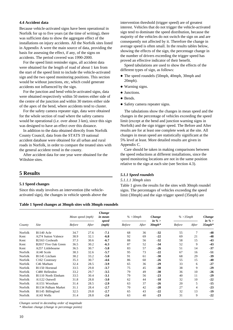#### **4.4 Accident data**

Because vehicle-activated signs have been operational in Norfolk for up to five years (at the time of writing), there was sufficient data to show the aggregate effect of the installations on injury accidents. All the Norfolk sites listed in Appendix A were the main source of data, providing the basis for assessing the effect, if any, of the signs on accidents. The period covered was 1990-2000.

For the speed limit reminder signs, all accident data were obtained for the length of road of about 1 km from the start of the speed limit to include the vehicle-activated sign and the two speed monitoring positions. This section would be without junctions, etc, which could generate accidents not influenced by the sign.

For the junction and bend vehicle-activated signs, data were obtained respectively within 50 metres either side of the centre of the junction and within 30 metres either side of the apex of the bend, where accidents tend to cluster.

For the safety camera repeater sign, data were obtained for the whole section of road where the safety camera would be operational (i.e. over about 3 km), since this sign was designed to have an effect over this distance.

In addition to the data obtained directly from Norfolk County Council, data from the STATS 19 national accident database were obtained for all urban and rural roads in Norfolk, in order to compare the treated sites with the general accident trend in the county.

After accident data for one year were obtained for the Wiltshire sites.

## **5 Results**

#### **5.1 Speed changes**

Since this study involves an intervention (the vehicleactivated sign), the changes in vehicle speeds above the

**Table 1 Speed changes at 30mph sites with 30mph roundels**

intervention threshold (trigger speed) are of greatest interest. Vehicles that do not trigger the vehicle-activated sign tend to dominate the speed distribution, because the majority of the vehicles do not switch the sign on and are consequently not affected by it. Therefore the change in average speed is often small. In the results tables below, showing the effects of the sign, the percentage change in the number of drivers exceeding the trigger speed has proved an effective indicator of their benefit.

Speed tabulations are used to show the effects of the different types of sign, as follows:

- The speed roundels (50mph, 40mph, 30mph and 20mph).
- Warning signs.
- Junctions.
- Bends
- Safety camera repeater signs.

The tabulations show the changes in mean speed and the changes in the percentage of vehicles exceeding the speed limit (except at the bend and junction warning signs in Norfolk) and the sign trigger speed. The Before and After results are for at least one complete week at the site. All changes in mean speed are statistically significant at the 5% level at least. More detailed results are given in Appendix C.

Care should be taken in making comparisons between the speed reductions at different installations, since the speed monitoring locations are not in the same position relative to the sign at each site (see Section 4.3).

#### *5.1.1 Speed roundels*

#### *5.1.1.1 30mph sites*

Table 1 gives the results for the sites with 30mph roundel signs. The percentages of vehicles exceeding the speed limit (30mph) and the sign trigger speed (35mph) are

|         |                            | Mean speed (mph) |       | Change<br>in mean | $% >30$ mph   |       | Change               | $% >35$ mph   |                | Change<br>in $\%$ > |
|---------|----------------------------|------------------|-------|-------------------|---------------|-------|----------------------|---------------|----------------|---------------------|
| County  | Site                       | <b>Before</b>    | After | speed<br>(mph)    | <b>Before</b> | After | in $\%$<br>$30 mph*$ | <b>Before</b> | After          | $35 mph*$           |
| Norfolk | B <sub>1140</sub> Acle     | 34.7             | 27.6  | $-7.1$            | 68            | 36    | $-32$                | 55            | 7              | $-48$               |
| Kent    | A274 Sutton Valence        | 38.9             | 32.1  | $-6.8$            | 92            | 69    | $-22$                | 69            | 21             | $-48$               |
| Kent    | B2163 Coxheath             | 37.3             | 30.6  | $-6.7$            | 88            | 56    | $-32$                | 58            | 15             | $-43$               |
| Kent    | B2017 Five Oak Green       | 36.5             | 30.2  | $-6.3$            | 87            | 52    | $-34$                | 52            | 9              | $-43$               |
| Kent    | A257 Littlebourne          | 36.5             | 30.7  | $-5.8$            | 83            | 57    | $-26$                | 51            | 14             | $-37$               |
| Norfolk | A140 Scole                 | 38.3             | 32.6  | $-5.7$            | 95            | 73    | $-22$                | 67            | 16             | $-51$               |
| Norfolk | B1145 Litcham              | 38.2             | 33.2  | $-5.0$            | 91            | 61    | $-30$                | 68            | 29             | $-39$               |
| Norfolk | C <sub>162</sub> Costessey | 35.3             | 30.7  | $-4.6$            | 86            | 60    | $-26$                | 55            | 15             | $-40$               |
| Norfolk | C <sub>46</sub> Marham     | 32.4             | 28.5  | $-3.9$            | 65            | 36    | $-29$                | 33            | 6              | $-27$               |
| Norfolk | B <sub>1150</sub> Horstead | 33.5             | 29.8  | $-3.7$            | 75            | 45    | $-30$                | 38            | 9              | $-29$               |
| Norfolk | C480 Hellesdon             | 33.2             | 29.7  | $-3.5$            | 79            | 49    | $-30$                | 36            | 10             | $-26$               |
| Norfolk | B1110 North Elmham         | 33.5             | 30.4  | $-3.1$            | 79            | 56    | $-23$                | 40            | 11             | $-29$               |
| Norfolk | A1122 Outwell              | 31.8             | 28.8  | $-3.0$            | 62            | 44    | $-18$                | 32            | 10             | $-22$               |
| Norfolk | A1151 Wroxham              | 31.4             | 28.5  | $-2.9$            | 63            | 37    | $-26$                | 20            | 5              | $-15$               |
| Norfolk | B1134 Pulham Market        | 31.1             | 28.4  | $-2.7$            | 70            | 42    | $-28$                | 27            | $\overline{4}$ | $-23$               |
| Norfolk | B1145 Billingford          | 32.5             | 29.8  | $-2.7$            | 65            | 43    | $-22$                | 32            | 13             | $-19$               |
| Norfolk | A143 Wells                 | 31.4             | 28.8  | $-2.6$            | 63            | 40    | $-23$                | 31            | 9              | $-22$               |

*Changes sorted in decending order of magnitude*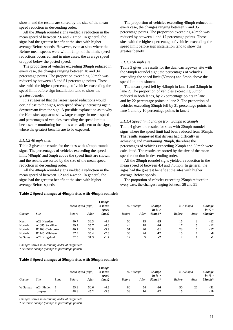shown, and the results are sorted by the size of the mean speed reduction in descending order.

All the 30mph roundel signs yielded a reduction in the mean speed of between 2.6 and 7.1mph. In general, the signs had the greatest benefit at the sites with higher average Before speeds. However, even at sites where the Before mean speeds were within 2mph of the limit, speed reductions occurred, and in nine cases, the average speed dropped below the posted speed.

The proportion of vehicles exceeding 30mph reduced in every case, the changes ranging between 18 and 34 percentage points. The proportion exceeding 35mph was reduced by between 15 and 51 percentage points. Those sites with the highest percentage of vehicles exceeding the speed limit before sign installation tend to show the greatest benefit.

It is suggested that the largest speed reductions would occur close to the signs, with speed slowly increasing again downstream from the sign. A possible explanation as to why the Kent sites appear to show large changes in mean speed and percentages of vehicles exceeding the speed limit is because the monitoring locations were adjacent to the signs, where the greatest benefits are to be expected.

#### *5.1.1.2 40 mph sites*

Table 2 gives the results for the sites with 40mph roundel signs. The percentages of vehicles exceeding the speed limit (40mph) and 5mph above the speed limit are shown, and the results are sorted by the size of the mean speed reduction in descending order.

All the 40mph roundel signs yielded a reduction in the mean speed of between 1.2 and 4.4mph. In general, the signs had the greatest benefit at the sites with higher average Before speeds.

The proportion of vehicles exceeding 40mph reduced in every case, the changes ranging between 7 and 35 percentage points. The proportion exceeding 45mph was reduced by between 1 and 17 percentage points. Those sites with the highest percentage of vehicles exceeding the speed limit before sign installation tend to show the greatest benefit.

#### *5.1.1.3 50 mph site*

Table 3 gives the results for the dual carriageway site with the 50mph roundel sign; the percentages of vehicles exceeding the speed limit (50mph) and 5mph above the speed limit are shown.

The mean speed fell by 4.6mph in lane 1 and 3.6mph in lane 2. The proportion of vehicles exceeding 50mph reduced in both lanes, by 26 percentage points in lane 1 and by 22 percentage points in lane 2. The proportion of vehicles exceeding 55mph fell by 31 percentage points in lane 1 and by 10 percentage points in lane 2.

#### *5.1.1.4 Speed limit change from 30mph to 20mph*

Table 4 gives the results for sites with 20mph roundel signs where the speed limit had been reduced from 30mph. The results suggested that drivers had difficulty in achieving and maintaining 20mph, therefore the percentages of vehicles exceeding 25mph and 30mph were calculated. The results are sorted by the size of the mean speed reduction in descending order.

All the 20mph roundel signs yielded a reduction in the mean speed of between 4.4 and 7.5mph. In general, the signs had the greatest benefit at the sites with higher average Before speeds.

The proportion of vehicles exceeding 25mph reduced in every case, the changes ranging between 28 and 51

#### **Table 2 Speed changes at 40mph sites with 40mph roundels**

|          |                 | Change<br>Mean speed (mph)<br>in mean<br>speed |       |        | $% > 40$ mph  |       | Change<br>in $\%$ > | $% >45$ mph    |       | Change<br>in $\%$ |  |
|----------|-----------------|------------------------------------------------|-------|--------|---------------|-------|---------------------|----------------|-------|-------------------|--|
| County   | Site            | <b>Before</b>                                  | After | (mph)  | <b>Before</b> | After | $40$ mph $*$        | <b>Before</b>  | After | $45 mph*$         |  |
| Kent     | A28 Hersden     | 40.7                                           | 36.3  | $-4.4$ | 50            | 15    | $-35$               | 15             | 3     | $-12$             |  |
| Norfolk  | A1085 Swaffham  | 39.7                                           | 35.7  | $-4.0$ | 44            | 18    | $-26$               | 17             | 5     | $-12$             |  |
| Norfolk  | B1108 Carbrooke | 40.7                                           | 36.8  | $-3.9$ | 51            | 20    | $-31$               | 23             | 6     | $-17$             |  |
| Norfolk  | B1145 Mileham   | 37.4                                           | 35.4  | $-2.0$ | 36            | 24    | $-12$               | 15             |       | -8                |  |
| W Sussex | A24 Kingsfold   | 32.5                                           | 31.3  | $-1.2$ | 12            | 5     | $-7$                | $\overline{c}$ |       | $-1$              |  |

*Changes sorted in decending order of magnitude*

*\* Absolute change (change in percentage points)*

#### **Table 3 Speed changes at 50mph sites with 50mph roundels**

| County   |             |                | Mean speed (mph) |       | Change<br>in mean | $% > 50$ mph<br>speed | Change<br>in % $>$ | $\% > 55$ mph |               | Change<br>in $\%$ |           |
|----------|-------------|----------------|------------------|-------|-------------------|-----------------------|--------------------|---------------|---------------|-------------------|-----------|
|          | <i>Site</i> | Lane           | <b>Before</b>    | After | (mph)             | <b>Before</b>         | After              | $50$ mp $h^*$ | <b>Before</b> | After             | $55 mph*$ |
| W Sussex | A24 Findon  |                | 55.2             | 50.6  | $-4.6$            | 80                    | 54                 | $-26$         | 50            | 20                | $-31$     |
|          | by-pass     | $\overline{2}$ | 48.8             | 45.2  | $-3.6$            | 38                    | 16                 | $-22$         | 15            | 4                 | $-10$     |

*Changes sorted in decending order of magnitude*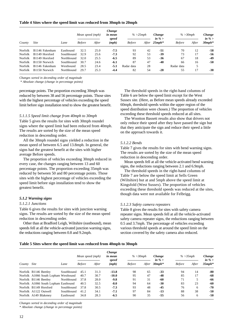#### **Table 4 Sites where the speed limit was reduced from 30mph to 20mph**

|                |                            |            | Mean speed (mph) |       | Change<br>in mean | $% >25$ mph<br>Change<br>speed |    |                                         | $% >30$ mph   |       | Change<br>in $\%$ |
|----------------|----------------------------|------------|------------------|-------|-------------------|--------------------------------|----|-----------------------------------------|---------------|-------|-------------------|
| County         | <b>Site</b>                | Lane       | <b>Before</b>    | After | (mph)             | <b>Before</b>                  |    | in % $>$<br>After $25$ mph <sup>*</sup> | <b>Before</b> | After | $30$ mph*         |
| Norfolk        | B1146 Fakenham             | Eastbound  | 32.5             | 25.0  | $-7.5$            | 93                             | 42 | -51                                     | 70            | 12    | -58               |
| Norfolk        | B <sub>1149</sub> Horsford | Southbound | 32.9             | 25.6  | $-7.3$            | 92                             | 53 | $-39$                                   | 73            | 17    | -56               |
| <b>Norfolk</b> | B <sub>1149</sub> Horsford | Northbound | 32.0             | 25.5  | $-6.5$            | 89                             | 53 | $-36$                                   | 67            | 18    | $-49$             |
| Norfolk        | B <sub>1150</sub> Norwich  | Southbound | 30.7             | 24.6  | $-6.1$            | 87                             | 47 | $-40$                                   | 66            | 16    | $-50$             |
| Norfolk        | B1146 Fakenham             | Westbound  | 28.5             | 23.4  | $-5.1$            | Radar data                     | 28 |                                         | Radar data    |       |                   |
| <b>Norfolk</b> | B <sub>1150</sub> Norwich  | Northbound | 29.7             | 25.3  | $-4.4$            | 82                             | 54 | $-28$                                   | 55            | 17    | $-38$             |

*Changes sorted in decending order of magnitude*

 *\* Absolute change (change in percentage points)*

percentage points. The proportion exceeding 30mph was reduced by between 38 and 56 percentage points. Those sites with the highest percentage of vehicles exceeding the speed limit before sign installation tend to show the greatest benefit.

#### *5.1.1.5 Speed limit change from 40mph to 30mph*

Table 5 gives the results for sites with 30mph roundel signs where the speed limit had been reduced from 40mph. The results are sorted by the size of the mean speed reduction in descending order.

All the 30mph roundel signs yielded a reduction in the mean speed of between 6.5 and 13.8mph. In general, the signs had the greatest benefit at the sites with higher average Before speeds.

The proportion of vehicles exceeding 30mph reduced in every case, the changes ranging between 13 and 60 percentage points. The proportion exceeding 35mph was reduced by between 50 and 80 percentage points. Those sites with the highest percentage of vehicles exceeding the speed limit before sign installation tend to show the greatest benefit.

#### *5.1.2 Warning signs*

#### *5.1.2.1 Junctions*

Table 6 gives the results for sites with junction warning signs. The results are sorted by the size of the mean speed reduction in descending order.

Other than at Bradford Leigh, Wiltshire (eastbound), mean speeds fell at all the vehicle-activated junction warning signs, the reductions ranging between 0.8 and 9.2mph.

The threshold speeds in the right-hand columns of Table 6 are below the speed limit except for the West Sussex site. (Here, as Before mean speeds already exceeded 60mph, threshold speeds within the upper region of the speed distribution were chosen.) The proportion of vehicles exceeding these threshold speeds reduced at all sites.

The Wootton Bassett results also show that drivers not only reduce their speed after they have passed the sign but that they anticipate the sign and reduce their speed a little on the approach towards it.

#### *5.1.2.2 Bends*

Table 7 gives the results for sites with bend warning signs. The results are sorted by the size of the mean speed reduction in descending order.

Mean speeds fell at all the vehicle-activated bend warning signs, the reductions ranging between 2.1 and 6.9mph.

The threshold speeds in the right-hand columns of Table 7 are below the speed limit at Sells Green (Wiltshire) but at and 5mph above the speed limit at Kingsfold (West Sussex). The proportion of vehicles exceeding these threshold speeds was reduced at the sites, though data were not available for Felbrigg.

#### *5.1.2.3 Safety camera repeaters*

Table 8 gives the results for sites with safety camera repeater signs. Mean speeds fell at all the vehicle-activated safety camera repeater signs, the reductions ranging between 0.5 and 3.7mph. The percentage of vehicles exceeding various threshold speeds at around the speed limit on the section covered by the safety camera also reduced.

#### **Table 5 Sites where the speed limit was reduced from 40mph to 30mph**

|             |                                      | Mean speed (mph) |               | Change<br>in mean<br>speed | $\% > 30$ mph |               | Change<br>in % $>$ | $% >35$ mph                 |               | Change<br>in % $>$ |           |
|-------------|--------------------------------------|------------------|---------------|----------------------------|---------------|---------------|--------------------|-----------------------------|---------------|--------------------|-----------|
| County Site |                                      | Lane             | <b>Before</b> | After                      | (mph)         | <b>Before</b> |                    | After $30$ mph <sup>*</sup> | <b>Before</b> | After              | $35 mph*$ |
|             | Norfolk B1146 Beetley                | Southbound       | 45.1          | 31.3                       | $-13.8$       | 98            | 65                 | $-33$                       | 94            | 14                 | $-80$     |
|             | Norfolk A1066 South Lopham Westbound |                  | 40.7          | 30.7                       | $-10.0$       | 95            | 47                 | $-48$                       | 85            | 17                 | -68       |
|             | Norfolk B1146 Beetley                | Northbound       | 37.8          | 28.0                       | $-9.8$        | 91            | 31                 | -60                         | 71            | 5                  | -66       |
|             | Norfolk A1066 South Lopham Eastbound |                  | 40.5          | 32.5                       | $-8.0$        | 94            | 64                 | $-30$                       | 83            | 23                 | -60       |
|             | Norfolk B1149 Horsford               | Southbound       | 37.8          | 30.5                       | $-7.3$        | 93            | 48                 | $-45$                       | 76            | 6                  | $-70$     |
|             | Norfolk A1122 Outwell                | Southbound       | 41.2          | 34.1                       | $-7.1$        | 97            | 84                 | $-13$                       | 88            | 38                 | -50       |
|             | Norfolk A149 Blakeney                | Eastbound        | 34.8          | 28.3                       | $-6.5$        | 90            | 35                 | $-55$                       | 56            | 6                  | $-50$     |

*Changes sorted in decending order of magnitude*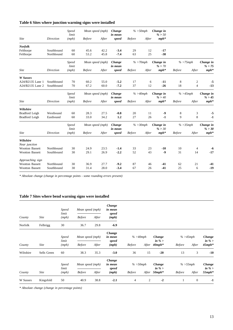## **Table 6 Sites where junction warning signs were installed**

|                            |                  | Speed                 |               | Mean speed (mph) | Change            |               | $% >50$ mph  | Change in           |               |                |                     |
|----------------------------|------------------|-----------------------|---------------|------------------|-------------------|---------------|--------------|---------------------|---------------|----------------|---------------------|
|                            |                  | limit                 |               |                  | in mean           |               |              | % > 50              |               |                |                     |
| <b>Site</b>                | <b>Direction</b> | (mph)                 | <b>Before</b> | After            | speed             | <b>Before</b> | After        | $mph*$              |               |                |                     |
| <b>Norfolk</b>             |                  |                       |               |                  |                   |               |              |                     |               |                |                     |
| Felthorpe                  | Southbound       | 60                    | 45.6          | 42.2             | $-3.4$            | 29            | 12           | $-17$               |               |                |                     |
| Felthorpe                  | Northbound       | 60                    | 53.2          | 45.8             | $-7.4$            | 63            | 25           | $-38$               |               |                |                     |
|                            |                  | <b>Speed</b><br>limit |               | Mean speed (mph) | Change<br>in mean |               | $% > 70$ mph | Change in<br>% > 70 |               | $% >75$ mph    | Change in<br>% > 75 |
| <b>Site</b>                | <b>Direction</b> | (mph)                 | <b>Before</b> | After            | speed             | <b>Before</b> | After        | $mph*$              | <b>Before</b> | After          | $mph*$              |
| W Sussex                   |                  |                       |               |                  |                   |               |              |                     |               |                |                     |
| A24/B2135 Lane 1           | Southbound       | 70                    | 60.2          | 55.0             | $-5.2$            | 17            | 6            | $-11$               | 8             | 2              | -5                  |
| A24/B2135 Lane 2           | Southbound       | 70                    | 67.2          | 60.0             | $-7.2$            | 37            | 12           | $-26$               | 18            | $\overline{4}$ | $-13$               |
|                            |                  | <b>Speed</b><br>limit |               | Mean speed (mph) | Change<br>in mean |               | $% >40$ mph  | Change in<br>% > 40 |               | $% >45$ mph    | Change in<br>% > 45 |
| <b>Site</b>                | <b>Direction</b> | (mph)                 | <b>Before</b> | After            | speed             | <b>Before</b> | After        | $mph*$              | <b>Before</b> | After          | $mph*$              |
| Wiltshire                  |                  |                       |               |                  |                   |               |              |                     |               |                |                     |
| <b>Bradford Leigh</b>      | Westbound        | 60                    | 28.3          | 27.5             | $-0.8$            | 20            | 11           | $-9$                | 8             | 3              | -5                  |
| Bradford Leigh             | Eastbound        | 60                    | 33.0          | 34.2             | 1,2               | 27            | 26           | $-1$                | 9             | 8              | $-1$                |
|                            |                  | <b>Speed</b><br>limit |               | Mean speed (mph) | Change<br>in mean |               | $% >30$ mph  | Change in<br>% > 30 |               | $% >35$ mph    | Change in<br>% > 30 |
| <b>Site</b>                | <b>Direction</b> | (mph)                 | <b>Before</b> | After            | speed             | <b>Before</b> | After        | $mph*$              | <b>Before</b> | After          | $mph*$              |
| Wiltshire<br>Near junction |                  |                       |               |                  |                   |               |              |                     |               |                |                     |
| <b>Wootton Bassett</b>     | Northbound       | 30                    | 24.9          | 23.5             | $-1.4$            | 33            | 23           | $-10$               | 10            | 4              | -6                  |
| <b>Wootton Bassett</b>     | Southbound       | 30                    | 29.1          | 26.9             | $-2.2$            | 52            | 43           | $-9$                | 31            | 14             | $-17$               |
| Approaching sign           |                  |                       |               |                  |                   |               |              |                     |               |                |                     |
| <b>Wootton Bassett</b>     | Northbound       | 30                    | 36.9          | 27.7             | $-9.2$            | 87            | 46           | $-41$               | 62            | 21             | $-41$               |
| Wootton Bassett            | Southbound       | 30                    | 31.4          | 28.0             | $-3.4$            | 67            | 26           | $-41$               | 25            | 6              | $-19$               |

*\* Absolute change (change in percentage points - some rounding errors present)*

## **Table 7 Sites where bend warning signs were installed**

|                |             | <b>Speed</b>          |                  | Mean speed (mph) |                            |               |       |                     |               |              |                          |
|----------------|-------------|-----------------------|------------------|------------------|----------------------------|---------------|-------|---------------------|---------------|--------------|--------------------------|
| County         | <b>Site</b> | limit<br>(mph)        | <b>Before</b>    | After            | speed<br>(mph)             |               |       |                     |               |              |                          |
| <b>Norfolk</b> | Felbrigg    | 30                    | 36.7             | 29.8             | $-6.9$                     |               |       |                     |               |              |                          |
|                |             | <b>Speed</b><br>limit | Mean speed (mph) |                  | Change<br>in mean<br>speed | $% >40$ mph   |       | Change<br>in $\%$ > | $% >45$ mph   |              | <b>Change</b><br>in $\%$ |
| County         | <b>Site</b> | (mph)                 | <b>Before</b>    | After            | (mph)                      | <b>Before</b> | After | $40 mph*$           | <b>Before</b> | After        | $45 mph*$                |
| Wiltshire      | Sells Green | 60                    | 38.3             | 35.3             | $-3.0$                     | 36            | 15    | $-20$               | 13            | 3            | $-10$                    |
|                |             | Speed<br>limit        | Mean speed (mph) |                  | Change<br>in mean<br>speed | $% >50$ mph   |       | Change<br>in $\%$ > | $% >55$ mph   |              | <b>Change</b><br>in $\%$ |
| County         | <b>Site</b> | (mph)                 | <b>Before</b>    | After            | (mph)                      | <b>Before</b> | After | $50 mph*$           | <b>Before</b> | After        | $55 mph*$                |
| W Sussex       | Kingsfold   | 50                    | 40.9             | 38.8             | $-2.1$                     | 4             | 2     | $-2$                |               | $\mathbf{0}$ | $-1$                     |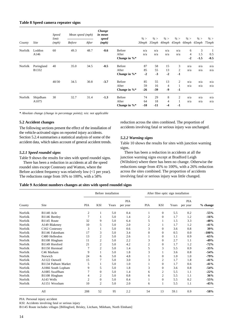#### **Table 8 Speed camera repeater signs**

|         |             | <b>Speed</b><br>limit | Mean speed (mph) |       | Change<br>in mean |                  |        | $\% >$      |                |                |                |                                         |               |
|---------|-------------|-----------------------|------------------|-------|-------------------|------------------|--------|-------------|----------------|----------------|----------------|-----------------------------------------|---------------|
| County  | <b>Site</b> | (mph)                 | <b>Before</b>    | After | speed<br>(mph)    |                  | $\% >$ | 30mph 35mph | % >            | % >            | $\% >$         | $\% >$<br>40mph 45mph 60mph 65mph 75mph | $\% >$        |
| Norfolk | Loddon      | 60                    | 49.3             | 48.7  | $-0.6$            | Before           | n/a    | n/a         | n/a            | n/a            | 6              | 3                                       |               |
|         | A146        |                       |                  |       |                   | After            | n/a    | n/a         | n/a            | n/a            | $\overline{4}$ | 1.5                                     | 0.5<br>$-0.5$ |
|         |             |                       |                  |       |                   | Change in $\%$ * |        |             |                |                | $-2$           | $-1.5$                                  |               |
| Norfolk | Poringland  | 40                    | 35.0             | 34.5  | $-0.5$            | Before           | 87     | 58          | 15             | 3              | n/a            | n/a                                     | n/a           |
|         | B1332       |                       |                  |       | $-3.7$            | After            | 85     | 55          | 13             | $\mathfrak{2}$ | n/a            | n/a                                     | n/a           |
|         |             |                       |                  |       |                   | Change in $\%^*$ | $-2$   | $-3$        | $-2$           | $-1$           |                |                                         |               |
|         |             | 40/30                 | 34.5             | 30.8  |                   | Before           | 85     | 55          | 13             | $\overline{2}$ | n/a            | n/a                                     | n/a           |
|         |             |                       |                  |       |                   | After            | 59     | 16          | $\overline{4}$ |                | n/a            | n/a                                     | n/a           |
|         |             |                       |                  |       |                   | Change in $\%$   | $-26$  | $-39$       | $-9$           | $-1$           |                |                                         |               |
| Norfolk | Shipdham    | 30                    | 32.7             | 31.4  | $-1.3$            | Before           | 74     | 29          | 8              | 2              | n/a            | n/a                                     | n/a           |
|         | A1075       |                       |                  |       |                   | After            | 64     | 18          | $\overline{4}$ | 1              | n/a            | n/a                                     | n/a           |
|         |             |                       |                  |       |                   | Change in $\%$ * | $-10$  | $-11$       | $-4$           | $-1$           |                |                                         |               |

*\* Absolute change (change in percentage points); n/a: not applicable*

#### **5.2 Accident changes**

The following sections present the effect of the installation of the vehicle-activated signs on reported injury accidents. Section 5.2.4 summarises a statistical analysis of some of the accident data, which takes account of general accident trends.

#### *5.2.1 Speed roundel signs*

Table 9 shows the results for sites with speed roundel signs.

There has been a reduction in accidents at all the speed roundel sites except Costessey and Watton, where the Before accident frequency was relatively low (<1 per year). The reductions range from 16% to 100%, with a 58%

reduction across the sites combined. The proportion of accidents involving fatal or serious injury was unchanged.

#### *5.2.2 Warning signs*

Table 10 shows the results for sites with junction warning signs.

There has been a reduction in accidents at all the junction warning signs except at Bradford Leigh (Wiltshire) where there has been no change. Otherwise the reductions range from 45% to 100%, with a 26% reduction across the sites combined. The proportion of accidents involving fatal or serious injury was little changed.

#### **Table 9 Accident numbers changes at sites with speed roundel signs**

|         |                        |                |                | Before installation |                 |                | After fibre optic sign installation |       |                        |          |
|---------|------------------------|----------------|----------------|---------------------|-----------------|----------------|-------------------------------------|-------|------------------------|----------|
| County  | Site                   | <b>PIA</b>     | KSI            | Years               | PIA<br>per year | <b>PIA</b>     | KSI                                 | Years | <b>PIA</b><br>per year | % change |
| Norfolk | B1140 Acle             | $\mathfrak{2}$ | 1              | 5.0                 | 0.4             |                | $\mathbf{0}$                        | 5.5   | 0.2                    | $-55%$   |
| Norfolk | B1146 Beetley          | 7              |                | 5.0                 | 1.4             | 2              | $\mathbf{0}$                        | 1.7   | 1.2                    | $-16%$   |
| Norfolk | B1145 Route            | 32             | 9              | 5.0                 | 6.4             | 5              |                                     | 1.5   | 3.3                    | $-48%$   |
| Norfolk | A149 Blakeney          | 10             | 5              | 5.0                 | 2.0             | 2              |                                     | 1.7   | 1.2                    | $-41%$   |
| Norfolk | C162 Costessey         | 3              |                | 5.0                 | 0.6             | 3              | $\Omega$                            | 3.6   | 0.8                    | 39%      |
| Norfolk | B1146 Fakenham         | 17             | 3              | 5.0                 | 3.4             | $\overline{0}$ | $\Omega$                            | 0.5   | 0.0                    | $-100%$  |
| Norfolk | C480 Hellesdon         | 13             | $\overline{c}$ | 5.0                 | 2.6             |                | $\Omega$                            | 1.1   | 0.9                    | $-65%$   |
| Norfolk | B1108 Hingham          | 11             | $\overline{2}$ | 5.0                 | 2.2             | 3              | $\Omega$                            | 2.7   | 1.1                    | $-49%$   |
| Norfolk | B1149 Horsford         | 21             | $\overline{2}$ | 5.0                 | 4.2             | 2              | $\mathbf{0}$                        | 1.7   | 1.2                    | $-72%$   |
| Norfolk | B1150 Horstead         | 7              | $\overline{c}$ | 5.0                 | 1.4             | 5              | 3                                   | 5.5   | 0.9                    | $-35%$   |
| Norfolk | C <sub>46</sub> Marham | 9              |                | 5.0                 | 1.8             | 3              |                                     | 3.6   | 0.8                    | $-54%$   |
| Norfolk | Norwich                | 24             | 6              | 5.0                 | 4.8             |                | $\Omega$                            | 1.0   | 1.0                    | $-79%$   |
| Norfolk | A1122 Outwell          | 15             | 7              | 5.0                 | 3.0             | 3              | $\overline{2}$                      | 1.7   | 1.8                    | $-41%$   |
| Norfolk | B1134 Pulham Market    | 5              | 1              | 5.0                 | 1.0             | 1              | $\mathbf{0}$                        | 1.7   | 0.6                    | $-41%$   |
| Norfolk | A1066 South Lopham     | 9              | 5              | 5.0                 | 1.8             | 3              | $\Omega$                            | 3.6   | 0.8                    | $-54%$   |
| Norfolk | A1085 Swaffham         | 7              | $\Omega$       | 5.0                 | 1.4             | 6              | $\overline{2}$                      | 5.5   | 1.1                    | $-22%$   |
| Norfolk | B1108 Hingham          | 4              | 2              | 5.0                 | 0.8             | 6              | $\overline{2}$                      | 5.5   | 1.1                    | 36%      |
| Norfolk | A143 Wells             | $\overline{c}$ | $\Omega$       | 5.0                 | 0.4             |                | $\mathbf{0}$                        | 5.5   | 0.2                    | $-55%$   |
| Norfolk | A1151 Wroxham          | 10             | $\mathfrak{2}$ | 5.0                 | 2.0             | 6              |                                     | 5.5   | 1.1                    | $-45%$   |
|         | All                    | 208            | 52             | 95                  | 2.2             | 54             | 13                                  | 59.1  | 0.9                    | $-58%$   |

PIA: Personal injury accident

KSI: Accidents involving fatal or serious injury

B1145 Route includes villages [Billingford, Brisley, Litcham, Mileham, North Elmham]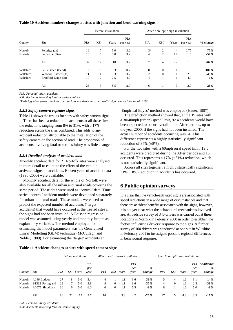#### **Table 10 Accident numbers changes at sites with junction and bend warning signs**

|           |                      |            |            | Before installation |                        |            | After fibre optic sign installation |                |                 |            |
|-----------|----------------------|------------|------------|---------------------|------------------------|------------|-------------------------------------|----------------|-----------------|------------|
| County    | Site                 | <b>PIA</b> | <b>KSI</b> | Years               | <b>PIA</b><br>per year | <b>PIA</b> | KSI                                 | Years          | PIA<br>per year | $%$ change |
| Norfolk   | Felbrigg (Jn)        | 16         | 7          | 5.0                 | 3.2                    | $3*$       | $\overline{2}$                      | $\overline{4}$ | 0.75            | $-77%$     |
| Norfolk   | Felthorpe (Bend)     | 16         | 5          | 5.0                 | 3.2                    | 4          | 2                                   | 2.7            | 1.5             | $-54%$     |
|           | All                  | 32         | 12         | 10                  | 3.2                    | 7          | $\overline{4}$                      | 6.7            | 1.0             | $-67%$     |
| Wiltshire | Sells Green (Bend)   | 2          | $\theta$   | 3                   | 0.7                    | $\theta$   | $\mathbf{0}$                        |                | $\Omega$        | $-100%$    |
| Wiltshire | Wootton Bassett (Jn) | 11         |            | 3                   | 3.7                    | 2          | $\mathbf{0}$                        |                | 2.0             | $-45%$     |
| Wiltshire | Bradford Leigh (Jn)  | 10         | 2          | 2.5                 | 4.0                    | 4          |                                     |                | 4.0             | 0%         |
|           | All                  | 23         | 3          | 8.5                 | 2.7                    | 6          |                                     | 3              | 2.0             | $-26%$     |

*PIA: Personal injury accident*

*KSI: Accidents involving fatal or serious injury*

*\*Felbrigg After period: includes two serious accidents recorded whilst sign removed for repair 1998*

#### *5.2.3 Safety camera repeater signs*

Table 11 shows the results for sites with safety camera signs. There has been a reduction in accidents at all these sites, the reductions ranging from 8% to 31%, with a 17% reduction across the sites combined. This adds to any accident reduction attributable to the installation of the safety camera on the section of road. The proportion of accidents involving fatal or serious injury was little changed.

#### *5.2.4 Detailed analysis of accident data*

Monthly accident data for 21 Norfolk sites were analysed in more detail to estimate the effect of the vehicleactivated signs on accidents. Eleven years of accident data (1990-2000) were available.

Monthly accident data for the whole of Norfolk were also available for all the urban and rural roads covering the same period. These data were used as 'control' data. Time series 'control' accident models were developed separately for urban and rural roads. These models were used to predict the expected number of accidents ('target' accidents) that would have occurred at the treated sites if the signs had not been installed. A Poisson regression model was assumed, using yearly and monthly factors as explanatory variables. The method employed for estimating the model parameters was the Generalised Linear Modelling (GLM) technique (McCullagh and Nelder, 1989). For estimating the 'target' accidents an

'Empirical Bayes' method was employed (Hauer, 1997).

The prediction method showed that, at the 19 sites with a 30/40mph (urban) speed limit, 92.4 accidents would have been expected to occur overall in the After periods, up to the year 2000, if the signs had not been installed. The actual number of accidents occurring was 61. This difference represents a highly statistically significant reduction of  $34\%$  ( $\pm 8\%$ ).

For the two sites with a 60mph rural speed limit, 19.5 accidents were predicted during the After periods and 16 occurred. This represents a 17%  $(\pm 21\%)$  reduction, which is not statistically significant.

Across all sites together, a highly statistically significant  $31\%$  ( $\pm 8\%$ ) reduction in accidents has occurred.

## **6 Public opinion surveys**

It is clear that the vehicle-activated signs are associated with speed reductions in a wide range of circumstances and that there are accident benefits associated with the signs, however, it is not yet clear what the behavioural mechanisms involved are. A roadside survey of 346 drivers was carried out at three locations in Norfolk in February 2000 in order to establish the factors influencing drivers' response to the signs. A further survey of 100 drivers was conducted at one site in Wiltshire in February 2001 to investigate possible regional differences in behavioural response.

#### **Table 11 Accident changes at sites with speed camera signs**

|         |                  | Before installation |    |           | After speed camera installation |     |          | After fibre optic sign installation |                    |             |     |          |       |                    |                                  |
|---------|------------------|---------------------|----|-----------|---------------------------------|-----|----------|-------------------------------------|--------------------|-------------|-----|----------|-------|--------------------|----------------------------------|
| County  | <i>Site</i>      | PIA                 |    | KSI Years | PIA<br>per<br>year              | PIA |          | KSI Years                           | PIA<br>per<br>year | %<br>change | PIA | KSI      | Years | PIA<br>per<br>year | <b>Additional</b><br>%<br>change |
| Norfolk | A146 Loddon      | 27                  | 8  | 5.0       | 5.4                             | 4   |          | 1.1                                 | 3.6                | $-33%$      |     | 4        | 1.6   | 3.1                | $-14%$                           |
| Norfolk | B1332 Poringland | 29                  | 7  | 5.0       | 5.8                             | 4   | $\Omega$ | 1.1                                 | 3.6                | $-37%$      | 4   | $\Omega$ | 1.6   | 2.5                | $-31%$                           |
| Norfolk | A1075 Shipdham   | 30                  | 6  | 5.0       | 6.0                             | 6   | $\Omega$ | 1.1                                 | 5.5                | $-9%$       | 8   |          | 1.6   | 5.0                | $-8%$                            |
|         | All              | 86                  | 21 | 15        | 5.7                             | 14  |          | 3.3                                 | 4.2                | $-26%$      | 17  |          | 4.8   | 3.5                | $-17%$                           |

*PIA: Personal injury accident*

*KSI: Accidents involving fatal or serious injury*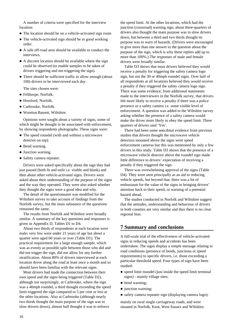A number of criteria were specified for the interview location:

- The location should be on a vehicle-activated sign route.
- The vehicle-activated sign should be in good working order.
- A safe off-road area should be available to conduct the interviews.
- A discreet location should be available where the sign could be observed (to enable samples to be taken of drivers triggering and not triggering the sign).
- There should be sufficient traffic to allow enough (about 100) drivers to be interviewed each day.

The sites chosen were:

- Felthorpe, Norfolk.
- Horsford, Norfolk.
- Carbrooke, Norfolk.
- Wootton Bassett, Wiltshire.

Opinions were sought about a variety of signs, some of which might be thought to be associated with enforcement, by showing respondents photographs. These signs were:

- The speed roundel (with and without a microwave detector on top).
- Bend warning.
- Junction warning.
- Safety camera repeater.

Drivers were asked specifically about the sign they had just passed (both lit and unlit i.e. visible and blank) and then about other vehicle-activated signs. Drivers were asked about their understanding of the purpose of the signs and the way they operated. They were also asked whether they thought the signs were a good idea and why.

The detail of the questionnaire was modified for the Wiltshire survey to take account of findings from the Norfolk survey, but the main substance of the questions remained the same.

The results from Norfolk and Wiltshire were broadly similar. A summary of the key questions and responses is given in Appendix D, Tables D1 to D4.

About two thirds of respondents at each location were male; very few were under 21 years of age but about a quarter were aged 60 years or over (Table D1). The practical requirement for a large enough sample, which was as evenly as possible split between those who did and did not trigger the sign, did not allow for any further stratification. About 80% of drivers interviewed at each location drove along the road at least once a month and so should have been familiar with the relevant signs.

Most drivers had made the connection between their own speed and the signs being triggered (Table D2), although not surprisingly, at Carbrooke, where the sign was a 40mph roundel, a third thought exceeding the speed limit triggered the sign compared to 5 per cent or less at the other locations. Also at Carbrooke (although nearly two thirds thought the main purpose of the sign was to slow drivers down), almost half thought it was to enforce

the speed limit. At the other locations, which had the junction (crossroad) warning sign, about three-quarters of drivers also thought the main purpose was to slow drivers down, but between a third and two thirds thought its purpose was to warn of hazards. (Drivers were encouraged to give more than one answer to the question about the purpose of the sign, which is why these replies add up to more than 100%.) The responses of male and female drivers were broadly similar.

Table D3 shows that most drivers believed they would receive a penalty for triggering the safety camera logo sign, but not the 30 or 40mph roundel signs. Over half of all respondents at all locations believed they would receive a penalty if they triggered the safety camera logo sign. There was some evidence, from additional statements made to the interviewers in the Norfolk survey, that drivers felt more likely to receive a penalty if there was a police presence or a safety camera i.e. some visible level of enforcement. A question was added to the Wiltshire survey asking whether the presence of a safety camera would make the driver more likely to obey the speed limit. Three quarters of drivers said 'Yes'.

There had been some anecdotal evidence from previous studies that drivers thought the microwave vehicle detectors mounted above the signs were speed enforcement cameras but this was mentioned by only a few drivers in this study. Table D3 shows that the presence of a microwave vehicle detector above the roundel sign made little difference to drivers' expectation of receiving a penalty if they triggered the sign.

There was overwhelming approval of the signs (Table D4). They were seen principally as an aid to reducing vehicle speeds, but beyond that, there was a lot of enthusiasm for the value of the signs in bringing drivers' attention back to their speed, or warning of a potential hazard ahead.

The studies conducted in Norfolk and Wiltshire suggest that the attitudes, understanding and behaviour of drivers in both counties are very similar and thus there is no clear regional bias.

## **7 Summary and conclusions**

A full-scale trial of the effectiveness of vehicle-activated signs in reducing speeds and accidents has been undertaken. The signs display a simple message relating to road conditions (presence of bends, junctions or speed requirements) to specific drivers, i.e. those exceeding a particular threshold speed. Four types of sign have been studied:

- speed limit roundel (just inside the speed limit terminal signs) - mainly village sites;
- bend warning;
- junction warning;
- safety camera repeater sign (displaying camera logo);

mainly on rural single carriageway roads, and were situated in Norfolk, Kent, West Sussex and Wiltshire.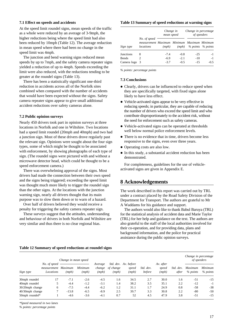#### **7.1 Effect on speeds and accidents**

At the speed limit roundel signs, mean speeds of the traffic as a whole were reduced by an average of 3-9mph, the higher reductions being where the speed limit had also been reduced by 10mph (Table 12). The average reduction in mean speed where there had been no change in the speed limit was 4mph.

The junction and bend warning signs reduced mean speeds by up to 7mph, and the safety camera repeater signs yielded a reduction of up to 4mph. Speeds exceeding the limit were also reduced, with the reductions tending to be greater at the roundel signs (Table 13).

There has been a statistically significant one-third reduction in accidents across all of the Norfolk sites combined when compared with the number of accidents that would have been expected without the signs. Safety camera repeater signs appear to give small additional accident reductions over safety cameras alone.

#### **7.2 Public opinion surveys**

Nearly 450 drivers took part in opinion surveys at three locations in Norfolk and one in Wiltshire. Two locations had a speed limit roundel (20mph and 40mph) and two had a junction sign. Most of these drivers drove regularly past the relevant sign. Opinions were sought about the four sign types, some of which might be thought to be associated with enforcement, by showing photographs of each type of sign. (The roundel signs were pictured with and without a microwave detector head, which could be thought to be a speed enforcement camera.)

There was overwhelming approval of the signs. Most drivers had made the connection between their own speed and the signs being triggered; exceeding the speed limit was thought much more likely to trigger the roundel sign than the other signs. At the locations with the junction warning sign, nearly all drivers thought that its main purpose was to slow them down or to warn of a hazard.

Over half of drivers believed they would receive a penalty for triggering the safety camera repeater sign.

These surveys suggest that the attitudes, understanding and behaviour of drivers in both Norfolk and Wiltshire are very similar and thus there is no clear regional bias.

#### **Table 13 Summary of speed reductions at warning signs**

|                  |                                                                          | Change in<br>mean speed |        | Change in percentage<br>of speeders |                   |  |
|------------------|--------------------------------------------------------------------------|-------------------------|--------|-------------------------------------|-------------------|--|
| Sign type        | No. of speed<br>measurement Maximum Minimum Maximum Minimum<br>locations | (mph)                   | (mph)  |                                     | % points % points |  |
| <b>Junctions</b> | 8                                                                        | $-7.4$                  | $-0.8$ | $-2.5$                              | $-1$              |  |
| <b>Bends</b>     | 2                                                                        | $-6.9$                  | $-2.1$ | $-10$                               | $-1$              |  |
| Camera logo      | -3                                                                       | $-3.7$                  | $-0.5$ | $-1.5$                              | $-0.5$            |  |

*% points: percentage points*

#### **7.3 Conclusions**

- Clearly, drivers can be influenced to reduce speed when they are specifically targeted, with fixed signs alone likely to have less effect.
- Vehicle-activated signs appear to be very effective in reducing speeds; in particular, they are capable of reducing the number of drivers who exceed the speed limit and who contribute disproportionately to the accident risk, without the need for enforcement such as safety cameras.
- Vehicle-activated signs can be operated at thresholds well below normal police enforcement levels.
- There is no evidence that in time, drivers become less responsive to the signs, even over three years.
- Operating costs are also low.
- In this study, a substantial accident reduction has been demonstrated.

For completeness, guidelines for the use of vehicleactivated signs are given in Appendix E.

## **8 Acknowledgements**

The work described in this report was carried out by TRL under a contract placed by the Road Safety Division of the Department for Transport. The authors are grateful to Mr A Waddams for his guidance and support.

The authors would also like to thank Babul Baruya (TRL) for the statistical analysis of accident data and Marie Taylor (TRL) for her help and guidance on the text. The authors are also grateful to the staff of the local authorities involved for their co-operation, and for providing data, plans and background information, and the police for practical assistance during the public opinion surveys.

#### **Table 12 Summary of speed reductions at roundel signs**

|                 | Change in mean speed                     |                  |                  |                            |                    |                                        |                     |                             |                       | Change in percentage<br>of speeders |                     |
|-----------------|------------------------------------------|------------------|------------------|----------------------------|--------------------|----------------------------------------|---------------------|-----------------------------|-----------------------|-------------------------------------|---------------------|
| Sign type       | No. of speed<br>measurement<br>Locations | Maximum<br>(mph) | Minimum<br>(mph) | Average<br>change<br>(mph) | of change<br>(mph) | Std. dev. Av. before<br>speed<br>(mph) | Std. dev.<br>before | Av. after<br>speed<br>(mph) | Std.<br>dev.<br>after | <b>Maximum</b><br>$%$ points        | Minimum<br>% points |
| 30mph roundel   | 17                                       | $-7.1$           | $-2.6$           | $-4.5$                     | 1.6                | 34.5                                   | 2.7                 | 30.0                        | 1.6                   | $-51$                               | $-15$               |
| 40mph roundel   | 5                                        | $-4.4$           | $-1.2$           | $-3.1$                     | 1.4                | 38.2                                   | 3.5                 | 35.1                        | 2.2                   | $-12$                               | $-1$                |
| 30/20mph change | 6                                        | $-7.5$           | $-4.4$           | $-6.2$                     | 1.2                | 31.1                                   | 1.7                 | 24.9                        | 0.8                   | $-58$                               | $-38$               |
| 40/30mph change | ⇁                                        | $-13.8$          | $-6.5$           | $-8.9$                     | 2.5                | 39.7                                   | 3.3                 | 30.8                        | 2.2                   | -80                                 | $-50$               |
| 50mph roundel*  |                                          | $-4.6$           | $-3.6$           | $-4.1$                     | 0.7                | 52                                     | 4.5                 | 47.9                        | 3.8                   | $-51$                               | $-15$               |

*\*Speed measured in two lanes*

*% points: percentage points*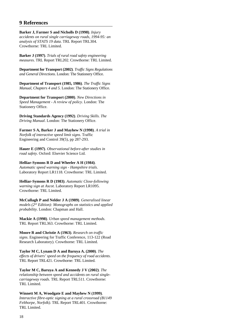## **9 References**

**Barker J, Farmer S and Nicholls D (1998)**. *Injury accidents on rural single carriageway roads, 1994-95: an analysis of STATS 19 data*. TRL Report TRL304. Crowthorne: TRL Limited.

**Barker J (1997)**. *Trials of rural road safety engineering measures*. TRL Report TRL202. Crowthorne: TRL Limited.

**Department for Transport (2002)**. *Traffic Signs Regulations and General Directions*. London: The Stationery Office.

**Department of Transport (1985, 1986)**. *The Traffic Signs Manual, Chapters 4 and 5*. London: The Stationery Office.

**Department for Transport (2000)**. *New Directions in Speed Management - A review of policy*. London: The Stationery Office.

**Driving Standards Agency (1992)**. *Driving Skills. The Driving Manual*. London: The Stationery Office.

**Farmer S A, Barker J and Mayhew N (1998)**. *A trial in Norfolk of interactive speed limit signs*. Traffic Engineering and Control 39(5), pp 287-293.

**Hauer E (1997)**. *Observational before-after studies in road safety*. Oxford: Elsevier Science Ltd.

#### **Helliar-Symons R D and Wheeler A H (1984)**.

*Automatic speed warning sign - Hampshire trials*. Laboratory Report LR1118. Crowthorne: TRL Limited.

**Helliar-Symons R D (1983)**. *Automatic Close-following warning sign at Ascot*. Laboratory Report LR1095. Crowthorne: TRL Limited.

**McCullagh P and Nelder J A (1989)**. *Generalised linear models (2nd Edition): Monographs on statistics and applied probability*. London: Chapman and Hall.

**Mackie A (1998)**. *Urban speed management methods*. TRL Report TRL363. Crowthorne: TRL Limited.

**Moore R and Christie A (1963)**. *Research on traffic signs*. Engineering for Traffic Conference, 113-122 (Road Research Laboratory). Crowthorne: TRL Limited.

**Taylor M C, Lynam D A and Baruya A. (2000)**. *The effects of drivers' speed on the frequency of road accidents*. TRL Report TRL421. Crowthorne: TRL Limited.

**Taylor M C, Baruya A and Kennedy J V (2002)**. *The relationship between speed and accidents on rural singlecarriageway roads*. TRL Report TRL511. Crowthorne: TRL Limited.

**Winnett M A, Woodgate E and Mayhew N (1999)**. *Interactive fibre-optic signing at a rural crossroad (B1149 Felthorpe, Norfolk)*. TRL Report TRL401. Crowthorne: TRL Limited.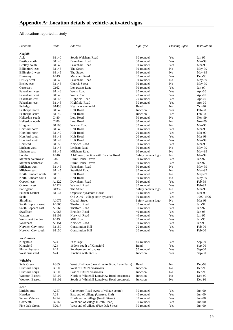## All locations reported in study

| Location                                         | Road                         | Address                                                                 | Sign type                | Flashing lights | <i>Installation</i>    |
|--------------------------------------------------|------------------------------|-------------------------------------------------------------------------|--------------------------|-----------------|------------------------|
| Norfolk                                          |                              |                                                                         |                          |                 |                        |
| Acle                                             | <b>B1140</b>                 | South Walsham Road                                                      | 30 roundel               | Yes             | $Jan-95$               |
| Beetley north                                    | B1146                        | Fakenham Road                                                           | 30 roundel               | Yes             | Mar-99                 |
| Beetley south                                    | B1146                        | Fakenham Road                                                           | 30 roundel               | Yes             | Mar-99                 |
| Billingford east                                 | B1145                        | The Street                                                              | 30 roundel               | No              | May-99                 |
| Billingford west                                 | B1145                        | The Street                                                              | 30 roundel               | No              | May-99                 |
| Blakeney                                         | A149                         | Marsham Road                                                            | 30 roundel               | Yes             | Dec-98                 |
| <b>Brisley</b> west                              | B1145                        | Fakenham Road                                                           | 30 roundel               | No              | May-99                 |
| Brisley east                                     | B1145<br>C <sub>162</sub>    | Church Street                                                           | 30 roundel<br>30 roundel | No<br>Yes       | May-99<br>$Jan-97$     |
| Costessey<br>Fakenham west                       | B1146                        | Longwater Lane<br>Wells Road                                            | 30 roundel               | Yes             |                        |
| Fakenham west                                    | B1146                        | Wells Road                                                              | 20 roundel               | Yes             | Apr- $00$<br>Apr- $00$ |
| Fakenham east                                    | B1146                        | Highfield Road                                                          | 20 roundel               | Yes             | Apr- $00$              |
| Fakenham east                                    | B1146                        | Highfield Road                                                          | 30 roundel               | Yes             | Apr- $00$              |
| Felbrigg                                         | B1436                        | Near war memorial                                                       | Bend                     | N <sub>0</sub>  | $Oct-96$               |
| Felthorpe north                                  | B1149                        | Holt Road                                                               | Junction                 | Yes             | Feb-98                 |
| Felthorpe south                                  | B1149                        | Holt Road                                                               | Junction                 | Yes             | Feb-98                 |
| Hellesdon south                                  | C480                         | Low Road                                                                | 30 roundel               | No              | Nov-99                 |
| Hellesdon north                                  | C <sub>480</sub>             | Low Road                                                                | 30 roundel               | No              | <b>Nov-99</b>          |
| Hingham                                          | <b>B1108</b>                 | Watton Road                                                             | 30 roundel               | No              | Mar-98                 |
| Horsford north                                   | B1149                        | <b>Holt Road</b>                                                        | 30 roundel               | Yes             | Mar-99                 |
| Horsford north                                   | B1149                        | Holt Road                                                               | 20 roundel               | Yes             | Mar-99                 |
| Horsford south                                   | B1149                        | Holt Road                                                               | 20 roundel               | Yes             | Mar-99                 |
| Horsford south                                   | B1149                        | Holt Road                                                               | 30 roundel               | Yes             | Mar-99                 |
| Horstead                                         | <b>B1150</b>                 | Norwich Road                                                            | 30 roundel               | Yes             | Mar-99                 |
| Litcham west                                     | B1145                        | Lexham Road                                                             | 30 roundel               | No              | May-99                 |
| Litcham east                                     | B1145                        | Mileham Road                                                            | 30 roundel               | No              | May-99                 |
| Loddon                                           | A146                         | A146 near junction with Beccles Road                                    | Safety camera logo       | No              | Mar-99                 |
| Marham southwest                                 | C46                          | <b>Burnt House Drove</b>                                                | 30 roundel               | Yes             | $Jan-97$               |
| Marham northeast                                 | C46                          | <b>Burnt House Drove</b>                                                | 30 roundel               | Yes             | $Jan-97$               |
| Mileham west                                     | B1145                        | Fakenham Road                                                           | 30 roundel               | No              | May-99                 |
| Mileham east                                     | B1145                        | Stanfield Road                                                          | 30 roundel               | No              | May-99                 |
| North Elmham north<br>North Elmham south         | <b>B1110</b><br><b>B1110</b> | Holt Road<br>Holt Road                                                  | 30 roundel<br>30 roundel | No<br>No        | May-99<br>May-99       |
| Outwell east                                     | A1122                        | Downham Road                                                            | 30 roundel               | Yes             | Feb-99                 |
| Outwell west                                     | A1122                        | Wisbech Road                                                            | 30 roundel               | Yes             | Feb-99                 |
| Poringland                                       | B1332                        | The Street                                                              | Safety camera logo       | No              | Mar-99                 |
| Pulham Market                                    | B1134                        | Opposite Sycamore House                                                 | 30 roundel               | Yes             | Mar-99                 |
| Scole                                            |                              | Old A140 - village now bypassed                                         | 30 roundel               | Yes             | 1992-1996              |
| Shipdham                                         | A1075                        | Chapel Street                                                           | Safety camera logo       | N <sub>0</sub>  | Mar-99                 |
| South Lopham west                                | A1066                        | <b>Thetford Road</b>                                                    | 30 roundel               | Yes             | Jan-97                 |
| South Lopham east                                | A1066                        | Thetford Road                                                           | 30 roundel               | Yes             | $Jan-97$               |
| Swaffham                                         | A1065                        | Brandon Road                                                            | 40 roundel               | Yes             | $Jan-95$               |
| Watton                                           | <b>B1108</b>                 | Norwich Road                                                            | 40 roundel               | Yes             | Jan-95                 |
| Wells next the Sea                               | A149                         | Mill Road                                                               | 30 roundel               | Yes             | $Jan-95$               |
| Wroxham                                          | A1151                        | Norwich Road                                                            | 30 roundel               | Yes             | $Jan-95$               |
| Norwich City north                               | B1150                        | <b>Constitution Hill</b>                                                | 20 roundel               | Yes             | Feb-00                 |
| Norwich City south                               | B1150                        | <b>Constitution Hill</b>                                                | 20 roundel               | Yes             | Feb-00                 |
| <b>West Sussex</b>                               |                              |                                                                         |                          |                 |                        |
| Kingsfold                                        | A24                          | In village                                                              | 40 roundel               | Yes             | $Sep-00$               |
| Kingsfold                                        | A24                          | 1600m south of Kingsfold                                                | Bend                     | Yes             | $Sep-00$               |
| Findon by-pass<br>West Grinstead                 | A24<br>A24                   | Southern end of bypass<br>Junction with B2135                           | 50 roundel<br>Junction   | Yes<br>Yes      | $Sep-00$<br>$Sep-00$   |
|                                                  |                              |                                                                         |                          |                 |                        |
| Wiltshire                                        |                              |                                                                         |                          |                 |                        |
| Sells Green                                      | A365                         | West of village (near drive to Broad Lane Farm)                         | Bend                     | No              | Dec-99                 |
| <b>Bradford Leigh</b>                            | B3105                        | West of B3109 crossroads                                                | Junction                 | No              | Dec-99                 |
| <b>Bradford Leigh</b>                            | <b>B3105</b><br>B3102        | East of B3109 crossroads<br>North of Whitehill Lane/New Road crossroads | Junction<br>Junction     | No              | Dec-99<br>Dec-99       |
| <b>Wootton Bassett</b><br><b>Wootton Bassett</b> | B3102                        | South of Whitehill Lane/New Road crossroads                             | Junction                 | No<br>No        | Dec-99                 |
|                                                  |                              |                                                                         |                          |                 |                        |
| <b>Kent</b><br>Littlebourne                      | A257                         | Canterbury Road (west of village centre)                                | 30 roundel               | Yes             | $Jun-00$               |
| Hersden                                          | A28                          | East end of village (Upstreet End)                                      | 40 roundel               | Yes             | $Jun-00$               |
| <b>Sutton Valence</b>                            | A274                         | North end of village (North Street)                                     | 30 roundel               | Yes             | $Jun-00$               |
| Coxheath                                         | B2163                        | West end of village (Heath Road)                                        | 30 roundel               | Yes             | $Jun-00$               |
| Five Oak Green                                   | B2017                        | West end of village (Five Oak Street)                                   | 30 roundel               | Yes             | $Jun-00$               |
|                                                  |                              |                                                                         |                          |                 |                        |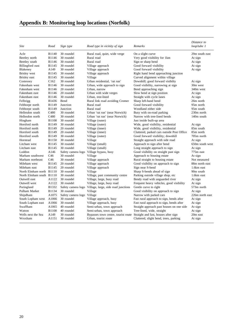| <b>Site</b>              | Road             | Sign type                  | Road type in vicinity of sign                                            | Remarks                                    | Distance to<br>$loop/tube$ 1 |
|--------------------------|------------------|----------------------------|--------------------------------------------------------------------------|--------------------------------------------|------------------------------|
| Acle                     | <b>B1140</b>     | 30 roundel                 | Rural road, quiet, wide verge                                            | On a slight curve                          | 29m south east               |
| Beetley north            | B1146            | 30 roundel                 | Rural road                                                               | Very good visibility for 1km               | At sign                      |
| Beetley south            | B1146            | 30 roundel                 | Rural road                                                               | Sign nr sharp bend                         | At sign                      |
| Billingford east         | B1145            | 30 roundel                 | Village approach                                                         | Good forward visibility                    | At sign                      |
| Blakeney                 | A149             | 30 roundel                 | Village approach                                                         | Good forward visibility                    | At sign                      |
| <b>Brisley</b> west      | <b>B1145</b>     | 30 roundel                 | Village approach                                                         | Right hand bend approaching junction       |                              |
| Brisley east             | B1145            | 30 roundel                 | Village                                                                  | Curved alignment within village            |                              |
| Costessey                | C <sub>162</sub> | 30 roundel                 | Urban residential, 'rat run'                                             | Downhill; good forward visibilty           | At sign                      |
| Fakenham west            | <b>B1146</b>     | 30 roundel                 | Urban, wide approach to sign                                             | Good visibility, narrowing at sign         | 30m west                     |
| Fakenham west            | <b>B1146</b>     | 20 roundel                 | Urban, narrow                                                            | Bend approaching sign                      | 340m west                    |
| Fakenham east            | B1146            | 20 roundel                 | Urban with wide verges                                                   | Slow bend at sign position                 | At sign                      |
| Fakenham east            | <b>B1146</b>     | 30 roundel                 | Urban, tree-lined                                                        | Straight with cycle lanes                  | At sign                      |
| Felbrigg                 | B1436            | Bend                       | Rural link road avoiding Cromer                                          | Sharp left-hand bend                       | 26m north                    |
| Felthorpe north          | B1149            | Junction                   | Rural road                                                               | Good forward visibility                    | 95m north                    |
| Felthorpe south          | B1149            | Junction                   | Rural road                                                               | Woodland either side                       | 95m south                    |
| Hellesdon south          | C480             | 30 roundel                 | Urban 'rat run' (near Norwich)                                           | Busy with on-road parking                  | 230m north                   |
| Hellesdon north          | C <sub>480</sub> | 30 roundel                 | Urban 'rat run' (near Norwich)                                           | Narrow with tree-lined bends               | 140 <sub>m</sub> south       |
| Hingham                  | <b>B1108</b>     | 30 roundel                 | Village (outer)                                                          | Just inside built-up area                  |                              |
| Horsford north           | B1149            | 30 roundel                 | Village (outer)                                                          | Wide, good visibility, residential         | At sign                      |
| Horsford north           | B1149            | 20 roundel                 | Village (inner)                                                          | Wide, good visibility, residential         | 85m south                    |
| Horsford south           | B1149            | 20 roundel                 | Village (inner)                                                          | Cluttered, parked cars outside Post Office | 85m north                    |
| Horsford south           | B1149            | 30 roundel                 | Village (outer)                                                          | Good forward visibility; downhill          | 705m north                   |
| Horstead                 | <b>B1150</b>     | 30 roundel                 | Village                                                                  | Straight approach with side road           | At sign                      |
| Litcham west             | B1145            | 30 roundel                 | Village (small)                                                          | Approach to sign after bend                | 650m south west              |
| Litcham east             | B1145            | 30 roundel                 | Village (small)                                                          | Long straight approach to sign             | At sign                      |
| Loddon                   | A146             |                            | Safety camera logo Village bypass, busy                                  | Good visibility on straight past sign      | 775m east                    |
| Marham southwest         | C46              | 30 roundel                 | Village                                                                  | Approach to housing estate                 | At sign                      |
| Marham northeast         | C46              | 30 roundel                 | Village approach                                                         | Rural straight to housing estate           | Not measured                 |
| Mileham west             | B1145            | 20 roundel                 | Village approach                                                         | Good visibility on approach to sign        | 88m north east               |
| Mileham east             | <b>B1145</b>     | 20 roundel                 | Village approach                                                         | Sign near S-bend                           | 1.6km east                   |
| North Elmham north B1110 |                  | 30 roundel                 | Village                                                                  | Sharp S-bends ahead of sign                | 90 <sub>m</sub> south        |
| North Elmham south B1110 |                  | 30 roundel                 | Village, past community centre                                           | Parking outside village shop, etc.         | 1.6km east                   |
| Outwell east             | A1122            | 30 roundel                 | Village, large, busy road                                                | Bendy road with unguarded river            | At sign                      |
| Outwell west             | A1122            | 30 roundel                 | Village, large, busy road                                                | Frequent heavy vehicles, good visibility   | At sign                      |
| Poringland               | B1332            |                            | Safety camera logo Village, large, side road junctions                   | Gentle curve to right                      | 573m north                   |
| Pulham Market            | B1134            | 30 roundel                 | Village                                                                  | Good visibility on approach to sign        | At sign                      |
| Shipdham                 | A1075            | Safety camera logo Village |                                                                          | Narrow with parked cars                    | 226m north east              |
| South Lopham west        | A1066            | 30 roundel                 | Village approach, busy                                                   | Fast rural approach to sign, bends after   | At sign                      |
| South Lopham east        | A1066            | 30 roundel                 | Village approach, busy                                                   | Fast rural approach to sign, bends after   | At sign                      |
| Swaffham                 | A1065            | 40 roundel                 | Semi-urban, town approach                                                | Straight approach past houses on one side  | At sign                      |
| Watton                   | <b>B1108</b>     | 40 roundel                 | Semi-urban, town approach                                                | Tree-lined, wide, straight                 | At sign                      |
| Wells next the Sea       | A149             | 30 roundel                 | Bypasses town centre, tourist route Straight and fast, houses after sign |                                            | 20m east                     |
| Wroxham                  | A1151            | 30 roundel                 | Urban, tourist route                                                     | Cluttered, slight bend, trees, parking     | At sign                      |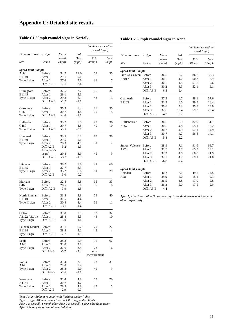## **Table C1 30mph roundel signs in Norfolk**

## **Table C2 30mph roundel signs in Kent**

|                                 | Direction: towards sign  |                        | Std.          | Vehicles exceeding<br>speed (mph) |              |  |
|---------------------------------|--------------------------|------------------------|---------------|-----------------------------------|--------------|--|
| Site                            | Period                   | Mean<br>speed<br>(mph) | Dev.<br>(mph) | % ><br>30mph                      | % ><br>35mph |  |
| Speed limit 30mph               |                          |                        |               |                                   |              |  |
| Acle                            | Before                   | 34.7                   | 11.0          | 68                                | 55           |  |
| B1140                           | After 1                  | 29.1                   | 5.6           |                                   | 7            |  |
| Type I sign                     | After 2<br>Diff. A2-B    | 27.6<br>$-7.1$         | 7.6<br>$-3.4$ | 36                                |              |  |
| Billingford                     | Before                   | 32.5                   | 7.2           | 65                                | 32           |  |
| B1145<br>Type II sign           | After 1<br>After 2       | 29.1<br>29.8           | 5.6<br>6.1    | 43                                | 13           |  |
|                                 | Diff. A2-B               | $-2.7$                 | $-1.1$        |                                   |              |  |
| Costessey                       | <b>Before</b>            | 35.3                   | 6.4           | 86                                | 55           |  |
| C <sub>162</sub><br>Type I sign | After 1<br>Diff. A2-B    | 30.7<br>$-4.6$         | 4.8<br>$-1.6$ | 60                                | 15           |  |
|                                 |                          |                        |               |                                   |              |  |
| Hellesdon<br>C480               | <b>Before</b><br>After 1 | 33.2<br>29.7           | 5.5<br>4.8    | 79<br>49                          | 36<br>10     |  |
| Type II sign                    | Diff. A2-B               | $-3.5$                 | $-0.7$        |                                   |              |  |
| Horstead                        | Before                   | 33.5                   | 6.2           | 75                                | 38           |  |
| B1150<br>Type I sign            | After 1<br>After 2       | 29.5<br>28.3           | 5.1<br>4.9    | 30                                | 7            |  |
|                                 | Diff A2-B                | $-5.2$                 | $-1.3$        |                                   |              |  |
|                                 | After $3 (>5$<br>years)  | 29.8                   | 4.9           | 45                                | 9            |  |
|                                 | Diff. A2-B               | $-3.7$                 | $-1.3$        |                                   |              |  |
| Litcham                         | Before                   | 38.2                   | 7.0           | 91                                | 68           |  |
| B1145<br>Type II sign           | After 1<br>After 2       | 32.7<br>33.2           | 6.3<br>6.8    | 61                                | 29           |  |
|                                 | Diff A2-B                | $-5.0$                 | $-0.2$        |                                   |              |  |
| Marham                          | Before                   | 32.4                   | 6.8           | 65                                | 33           |  |
| C46<br>Type I sign              | After 1<br>Diff. A2-B    | 28.5<br>$-3.9$         | 5.0<br>$-1.8$ | 36                                | 6            |  |
|                                 |                          |                        |               |                                   |              |  |
| North Elmham<br>B1110           | Before<br>After 1        | 33.5<br>30.5           | 5.8<br>4.4    | 79                                | 40           |  |
| Type II sign                    | After 2                  | 30.4                   | 4.4           | 56                                | 11           |  |
|                                 | Diff. A2-B               | $-3.1$                 | -1.4          |                                   |              |  |
| Outwell                         | Before                   | 31.8                   | 7.1           | 62                                | 32           |  |
| A1122 (site 1)<br>Type I sign   | After 1<br>Diff. A2-B    | 28.8<br>$-3.0$         | 5.5<br>$-1.6$ | 44                                | 10           |  |
| Pulham Market                   | <b>Before</b>            | 31.1                   | 6.7           | 70                                | 27           |  |
| B1134                           | After 1                  | 28.4                   | 5.2           | 42                                | 4            |  |
| Type I sign                     | Diff. A2-B               | -2.7                   | -1.5          |                                   |              |  |
| Scole<br>A140                   | Before<br>After 1        | 38.3<br>32.0           | 5.9<br>3.8    | 95                                | 67           |  |
| Type I sign                     | After 2                  | 32.6                   | 3.5           | 73                                | 16           |  |
|                                 | Diff A2-B                | $-5.7$                 | -2.4          | radar<br>measurement              |              |  |
| Wells                           | Before                   | 31.4                   | 7.1           | 63                                | 31           |  |
| A143                            | After 1                  | 28.0                   | 5.4           |                                   |              |  |
| Type I sign                     | After 2                  | 28.8                   | 5.0           | 40                                | 9            |  |
|                                 | Diff A2-B                | $-2.6$                 | -2.1          |                                   |              |  |
| Wroxham<br>A1151                | Before<br>After 1        | 31.4<br>30.7           | 4.9<br>4.7    | 63                                | 20           |  |
| Type I sign                     | After 2                  | 28.5                   | 4.9           | 37                                | 5            |  |
|                                 | Diff A2-B                | -2.9                   | 0.0           |                                   |              |  |

|                         |               |        |        | Vehicles exceeding<br>speed (mph) |          |
|-------------------------|---------------|--------|--------|-----------------------------------|----------|
| Direction: towards sign |               | Mean   | Std.   |                                   |          |
|                         |               | speed  | Dev.   | % >                               | $\% >$   |
| Site                    | Period        | (mph)  | (mph)  | 30mph                             | $35$ mph |
| Speed limit 30mph       |               |        |        |                                   |          |
| Five Oak Green Before   |               | 36.5   | 6.7    | 86.6                              | 52.3     |
| B2017                   | After 1       | 30.1   | 4.2    | 50.3                              | 8.9      |
|                         | After 2       | 30.1   | 4.5    | 51.5                              | 9.6      |
|                         | After 3       | 30.2   | 4.3    | 52.1                              | 9.1      |
|                         | Diff. A3-B    | $-6.3$ | $-2.4$ |                                   |          |
| Coxheath                | <b>Before</b> | 37.3   | 6.7    | 88.1                              | 57.6     |
| B2163                   | After 1       | 31.3   | 6.0    | 59.9                              | 16.4     |
|                         | After 2       | 30.6   | 5.3    | 55.8                              | 14.9     |
|                         | After 3       | 32.6   | 10.4   | 59.3                              | 20.4     |
|                         | Diff. A3-B    | $-4.7$ | 3.7    |                                   |          |
| Littlebourne            | <b>Before</b> | 36.5   | 6.9    | 82.9                              | 51.1     |
| A257                    | After 1       | 30.5   | 4.8    | 55.1                              | 13.2     |
|                         | After 2       | 30.7   | 4.9    | 57.1                              | 14.9     |
|                         | After 3       | 30.7   | 4.7    | 56.8                              | 14.1     |
|                         | Diff. A3-B    | $-5.8$ | $-2.2$ |                                   |          |
| <b>Sutton Valence</b>   | <b>Before</b> | 38.9   | 7.1    | 91.6                              | 68.7     |
| A274                    | After 1       | 31.7   | 4.7    | 65.3                              | 19.1     |
|                         | After 2       | 32.2   | 4.8    | 68.8                              | 21.9     |
|                         | After 3       | 32.1   | 4.7    | 69.1                              | 21.0     |
|                         | Diff. A3-B    | $-6.8$ | $-2.4$ |                                   |          |
| Speed limit 40mph       |               |        |        |                                   |          |
| Hersden                 | <b>Before</b> | 40.7   | 7.1    | 49.5                              | 15.5     |
| A28                     | After 1       | 35.9   | 5.0    | 15.1                              | 2.3      |
|                         | After 2       | 36.5   | 4.8    | 17.9                              | 2.8      |
|                         | After 3       | 36.3   | 5.0    | 17.5                              | 2.9      |
|                         | Diff. A3-B    | $-4.4$ |        |                                   |          |

*After 1, After 2 and After 3 are typically 1 month, 6 weeks and 2 months after respectively.*

*Type I sign: 300mm roundel with flashing amber lights.*

*Type II sign: 400mm roundel* without *flashing amber lights.*

*After 1 is typically 1 month after; After 2 is typically 1 year after (long term). After 3 is very long term at selected sites.*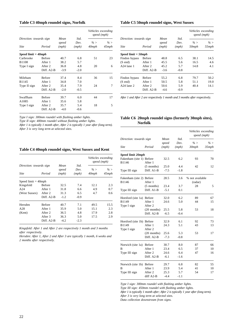#### **Table C3 40mph roundel signs, Norfolk**

|                                   |                        | Std.          | Vehicles exceeding<br>speed (mph) |                 |  |
|-----------------------------------|------------------------|---------------|-----------------------------------|-----------------|--|
| Direction: towards sign<br>Period | Mean<br>speed<br>(mph) | Dev.<br>(mph) | % ><br>$40$ mph                   | % ><br>$45$ mph |  |
| Speed limit = 40mph               |                        |               |                                   |                 |  |
| <b>Before</b>                     | 40.7                   | 6.8           | 51                                | 23              |  |
| After 1                           | 38.2                   | 5.7           |                                   |                 |  |
| After 2                           | 36.8                   | 4.8           | 20                                | 6               |  |
| Diff. A2-B                        | $-3.9$                 | $-2.0$        |                                   |                 |  |
| <b>Before</b>                     | 37.4                   | 8.4           | 36                                | 15              |  |
| After 1                           | 34.8                   | 7.0           |                                   |                 |  |
| After 2                           | 35.4                   | 7.9           | 24                                | 7               |  |
| Diff. A2-B                        | $-2.0$                 | $-0.5$        |                                   |                 |  |
| <b>Before</b>                     | 39.7                   | 6.0           | 44                                | 17              |  |
| After 1                           | 35.6                   | 5.8           |                                   |                 |  |
| After 2                           | 35.7                   | 5.4           | 18                                | 5               |  |
| Diff. A2-B                        | $-4.0$                 | $-0.6$        |                                   |                 |  |
|                                   |                        |               |                                   |                 |  |

*Type I sign: 300mm roundel with flashing amber lights.*

*Type II sign: 400mm roundel without flashing amber lights.*

*After 1 is typically 1 month after, After 2 is typically 1 year after (long term). After 3 is very long term at selected sites.*

## **Table C4 40mph roundel signs, West Sussex and Kent**

|                                           |               |                        |                       |                    | Vehicles exceeding<br>speed (mph) |  |
|-------------------------------------------|---------------|------------------------|-----------------------|--------------------|-----------------------------------|--|
| Direction: towards sign<br>Site<br>Period |               | Mean<br>speed<br>(mph) | Std.<br>Dev.<br>(mph) | $\% >$<br>$40$ mph | $\% >$<br>$45$ mph                |  |
| Speed $limit = 40$ mph                    |               |                        |                       |                    |                                   |  |
| Kingsfold                                 | Before        | 32.5                   | 7.4                   | 12.1               | 2.3                               |  |
| A24                                       | After 1       | 31.8                   | 6.6                   | 4.9                | 0.7                               |  |
| (West Sussex)                             | After 2       | 31.3                   | 6.5                   | 4.7                | 0.6                               |  |
|                                           | Diff. A2-B    | $-1.2$                 | $-0.9$                |                    |                                   |  |
| Hersden                                   | <b>Before</b> | 40.7                   | 7.1                   | 49.5               | 15.5                              |  |
| A28                                       | After 1       | 35.9                   | 5.0                   | 15.1               | 2.3                               |  |
| (Kent)                                    | After 2       | 36.5                   | 4.8                   | 17.9               | 2.8                               |  |
|                                           | After 3       | 36.3                   | 5.0                   | 17.5               | 2.9                               |  |
|                                           | Diff. A2-B    | $-4.2$                 | $-2.3$                |                    |                                   |  |

*Kingsfold: After 1 and After 2 are respectively 1 month and 3 months after respectively.*

*Hersden: After 1, After 2 and After 3 are typically 1 month, 6 weeks and 2 months after respectively.*

#### **Table C5 50mph roundel signs, West Sussex**

|                                                  |               |                        |                       | speed (mph)                 | Vehicles exceeding |  |
|--------------------------------------------------|---------------|------------------------|-----------------------|-----------------------------|--------------------|--|
| Direction: towards sign<br><b>Site</b><br>Period |               | Mean<br>speed<br>(mph) | Std.<br>Dev.<br>(mph) | $\% >$<br>50 <sub>mph</sub> | $\% >$<br>55mph    |  |
| Speed limit = 50mph                              |               |                        |                       |                             |                    |  |
| Findon bypass                                    | <b>Before</b> | 48.8                   | 6.5                   | 38.1                        | 14.5               |  |
| $(S \text{ end})$                                | After 1       | 45.5                   | 5.6                   | 16.5                        | 4.6                |  |
| $A24$ lane 1                                     | After 2       | 45.2                   | 5.7                   | 14.8                        | 4.1                |  |
|                                                  | Diff. A2-B    | $-3.6$                 | $-0.8$                |                             |                    |  |
| Findon bypass                                    | <b>Before</b> | 55.2                   | 6.8                   | 79.7                        | 50.2               |  |
| $(S \text{ end})$                                | After 1       | 50.5                   | 5.8                   | 51.1                        | 19.0               |  |
| $A24$ lane 2                                     | After 2       | 50.6                   | 5.9                   | 40.4                        | 14.1               |  |
|                                                  | $Diff. A2-B$  | $-4.6$                 | $-0.9$                |                             |                    |  |

*After 1 and After 2 are respectively 1 month and 3 months after respectively.*

#### **Table C6 20mph roundel signs (formerly 30mph sites), Norfolk**

|                           |               |        |        | speed (mph)     | Vehicles exceeding |
|---------------------------|---------------|--------|--------|-----------------|--------------------|
| Direction: towards sign   |               | Mean   | Std.   |                 |                    |
|                           |               | speed  | Dev.   | % >             | $\% >$             |
| Site                      | Period        | (mph)  | (mph)  | $30$ mph        | 35 mph             |
| <b>Speed limit 20mph</b>  |               |        |        |                 |                    |
| Fakenham (site 1) Before  |               | 32.5   | 6.2    | 93              | 70                 |
| B1146                     | After 1       |        |        |                 |                    |
|                           | (5 months)    | 25.0   | 4.4    | 42              | 12                 |
| Type III sign             | Diff. A1-B    | $-7.5$ | $-1.8$ |                 |                    |
| Fakenham (site 2) Before  |               | 28.5   | 3.6    | % not available |                    |
| B1146                     | After 1       |        |        | (radar)         |                    |
|                           | $(5$ months)  | 23.4   | 3.7    | 28              | 5                  |
| Type III sign             | Diff. A1-B    | $-5.1$ | 0.1    |                 |                    |
| Horsford (site 1a) Before |               | 32.0   | 6.2    | 89              | 67                 |
| B1149                     | After 1       | 24.6   | 5.0    | 44              | 15                 |
| Type I sign               | After 2       |        |        |                 |                    |
|                           | $(20$ months) | 25.5   | 5.8    | 53              | 18                 |
|                           | Diff. A2-B    | $-6.5$ | $-0.4$ |                 |                    |
| Horsford (site 1b) Before |               | 32.9   | 6.1    | 92              | 73                 |
| B1149                     | After 1       | 24.3   | 5.1    | 43              | 13                 |
| Type I sign               | After 2       |        |        |                 |                    |
|                           | $(20$ months) | 25.6   | 5.3    | 53              | 17                 |
|                           | Diff. A2-B    | $-7.3$ | $-0.8$ |                 |                    |
| Norwich (site 1a) Before  |               | 30.7   | 8.0    | 87              | 66                 |
| в                         | After 1       | 23.4   | 6.5    | 37              | 10                 |
| Type III sign             | After 2       | 24.6   | 6.4    | 47              | 16                 |
|                           | Diff. A2-B    | $-6.1$ | $-1.6$ |                 |                    |
| Norwich (site 1b) Before  |               | 29.7   | 6.8    | 82              | 55                 |
| В                         | After 1       | 23.9   | 5.4    | 41              | 10                 |
| Type III sign             | After 2       | 25.3   | 5.7    | 54              | 17                 |
|                           | diff A2-B     | $-4.4$ | $-1.1$ |                 |                    |

*Type I sign: 300mm roundel with flashing amber lights.*

*Type III sign: 450mm roundel with flashing amber lights.*

*After 1 is typically 1 month after; After 2 is typically 1 year after (long term). After 3 is very long term at selected sites.*

*Data collection downstream from signs.*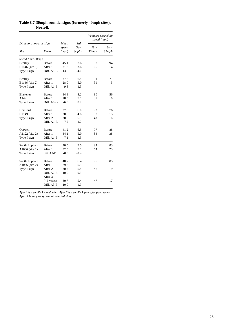|                         |                       |         |        |          | Vehicles exceeding<br>speed (mph) |  |
|-------------------------|-----------------------|---------|--------|----------|-----------------------------------|--|
| Direction: towards sign |                       | Mean    | Std.   |          |                                   |  |
|                         |                       | speed   | Dev.   | $\% >$   | $\% >$                            |  |
| <b>Site</b>             | Period                | (mph)   | (mph)  | $30$ mph | $35$ mph                          |  |
| Speed limit 30mph       |                       |         |        |          |                                   |  |
| Beetley                 | Before                | 45.1    | 7.6    | 98       | 94                                |  |
| B1146 (site 1)          | After 1               | 31.3    | 3.6    | 65       | 14                                |  |
| Type I sign             | Diff. A1-B            | $-13.8$ | $-4.0$ |          |                                   |  |
| Beetley                 | <b>Before</b>         | 37.8    | 6.5    | 91       | 71                                |  |
| B1146 (site 2)          | After 1               | 28.0    | 5.0    | 31       | 5                                 |  |
| Type I sign             | Diff. A1-B            | $-9.8$  | $-1.5$ |          |                                   |  |
| Blakeney                | <b>Before</b>         | 34.8    | 4.2    | 90       | 56                                |  |
| A149                    | After 1               | 28.3    | 5.1    | 35       | 6                                 |  |
| Type I sign             | Diff. A1-B            | $-6.5$  | 0.9    |          |                                   |  |
| Horsford                | <b>Before</b>         | 37.8    | 6.0    | 93       | 76                                |  |
| B1149                   | After 1               | 30.6    | 4.8    | 58       | 13                                |  |
| Type I sign             | After 2               | 30.5    | 5.1    | 48       | 6                                 |  |
|                         | Diff. A1-B            | $-7.2$  | $-1.2$ |          |                                   |  |
| Outwell                 | <b>Before</b>         | 41.2    | 6.5    | 97       | 88                                |  |
| A1122 (site 2)          | After 1               | 34.1    | 5.0    | 84       | 38                                |  |
| Type I sign             | Diff. A1-B            | $-7.1$  | $-1.5$ |          |                                   |  |
| South Lopham            | <b>Before</b>         | 40.5    | 7.5    | 94       | 83                                |  |
| A1066 (site 1)          | After 1               | 32.5    | 5.1    | 64       | 23                                |  |
| Type I sign             | diff $A2-B$           | $-8.0$  | $-2.4$ |          |                                   |  |
| South Lopham            | <b>Before</b>         | 40.7    | 6.4    | 95       | 85                                |  |
| A1066 (site 2)          | After 1               | 29.5    | 5.3    |          |                                   |  |
| Type I sign             | After 2               | 30.7    | 5.5    | 46       | 19                                |  |
|                         | Diff. A2-B<br>After 3 | $-10.0$ | $-0.9$ |          |                                   |  |
|                         | $($ >5 years $)$      | 30.7    | 5.4    | 47       | 17                                |  |
|                         | Diff. A3-B            | $-10.0$ | $-1.0$ |          |                                   |  |

**Table C7 30mph roundel signs (formerly 40mph sites), Norfolk**

*After 1 is typically 1 month after; After 2 is typically 1 year after (long term). After 3 is very long term at selected sites.*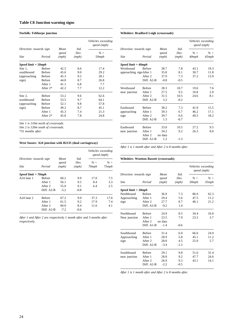#### **Norfolk: Felthorpe junction**

|                         |               |               |              | Vehicles exceeding<br>speed (mph) |
|-------------------------|---------------|---------------|--------------|-----------------------------------|
| Direction: towards sign |               | Mean<br>speed | Std.<br>Dev. | % >                               |
| <b>Site</b>             | Period        | (mph)         | (mph)        | 50mph                             |
| Speed limit = 50mph     |               |               |              |                                   |
| Site 1,                 | <b>Before</b> | 42.5          | 8.6          | 17.4                              |
| southbound              | <b>Before</b> | 45.6          | 9.0          | 29.2                              |
| (approaching)           | <b>Before</b> | 45.3          | 9.2          | 28.1                              |
| sign)                   | <b>Before</b> | 44.8          | 8.7          | 26.8                              |
|                         | After 1       | 41.1          | 6.8          | 7.7                               |
|                         | After $2*$    | 42.2          | 7.7          | 12.2                              |
| Site 2,                 | <b>Before</b> | 53.2          | 9.6          | 62.6                              |
| northbound              | <b>Before</b> | 53.5          | 9.7          | 64.1                              |
| (approaching)           | <b>Before</b> | 52.1          | 9.8          | 57.8                              |
| sign)                   | <b>Before</b> | 49.2          | 8.7          | 45.1                              |
|                         | After 1       | 45.3          | 7.4          | 21.3                              |
|                         | After $2*$    | 45.8          | 7.8          | 24.8                              |

*Site 1 is 110m north of crossroads.*

*Site 2 is 120m south of crossroads.*

*\*31 months after.*

#### **West Sussex: A24 junction with B2135 (dual carriageway)**

|                                        |                 |                        |                       | Vehicles exceeding<br>speed (mph) |                    |  |
|----------------------------------------|-----------------|------------------------|-----------------------|-----------------------------------|--------------------|--|
| Direction: towards sign<br><b>Site</b> | Period          | Mean<br>speed<br>(mph) | Std.<br>Dev.<br>(mph) | $\% >$<br>$70$ mph                | $\% >$<br>$75$ mph |  |
| Speed limit $= 70$ mph                 |                 |                        |                       |                                   |                    |  |
| $A24$ lane 1                           | <b>Before</b>   | 60.2                   | 9.9                   | 17.0                              | 7.5                |  |
|                                        | After 1         | 56.1                   | 9.5                   | 8.4                               | 3.3                |  |
|                                        | After 2         | 55.0                   | 9.1                   | 6.4                               | 2.5                |  |
|                                        | Diff. A2-B      | $-5.2$                 | $-0.8$                |                                   |                    |  |
| $A24$ lane 2                           | <b>Before</b>   | 67.2                   | 9.0                   | 37.3                              | 17.6               |  |
|                                        | After 1         | 61.5                   | 9.2                   | 17.9                              | 7.4                |  |
|                                        | After 2<br>60.0 |                        | 8.4                   | 11.6                              | 4.1                |  |
|                                        | Diff. A2-B      | $-7.2$                 | $-0.6$                |                                   |                    |  |

*After 1 and After 2 are respectively 1 month after and 3 months after respectively.*

#### **Wiltshire: Bradford Leigh (crossroads)**

|                          |               |                |               | Vehicles exceeding<br>speed (mph) |                 |
|--------------------------|---------------|----------------|---------------|-----------------------------------|-----------------|
| Direction: towards sign  |               | Mean           | Std.          |                                   |                 |
| <b>Site</b>              | Period        | speed<br>(mph) | Dev.<br>(mph) | $\% >$<br>40mph                   | $\% >$<br>45mph |
|                          |               |                |               |                                   |                 |
| Speed limit $=$ 40mph    |               |                |               |                                   |                 |
| Westbound                | <b>Before</b> | 38.7           | 7.8           | 43.1                              | 19.3            |
| approaching sign After 1 |               | 35.8           | 8.1           | 30.7                              | 11.8            |
|                          | After 2       | 37.9           | 7.3           | 37.2                              | 13.9            |
|                          | Diff. A2-B    | $-0.8$         | $-0.5$        |                                   |                 |
| Westbound                | <b>Before</b> | 28.3           | 10.7          | 19.6                              | 7.6             |
| near junction            | After 1       | 27.5           | 9.5           | 10.8                              | 2.9             |
|                          | After 2       | 31.5           | 10.5          | 24.6                              | 8.1             |
|                          | Diff. A2-B    | 3.2            | $-0.2$        |                                   |                 |
| Eastbound                | <b>Before</b> | 38.2           | 7.3           | 41.0                              | 15.5            |
| approaching              | After 1       | 39.3           | 6.7           | 46.2                              | 17.1            |
| sign                     | After 2       | 39.7           | 6.6           | 49.5                              | 18.2            |
|                          | Diff. A2-B    | 1.5            | $-0.7$        |                                   |                 |
| Eastbound                | <b>Before</b> | 33.0           | 10.5          | 27.2                              | 9.5             |
| near junction            | After 1       | 34.2           | 9.2           | 26.3                              | 8.0             |
|                          | After 2       | no data        |               |                                   |                 |
|                          | Diff. A1-B    | 1.2            | $-1.3$        |                                   |                 |

*After 1 is 1 month after and After 2 is 8 months after.*

#### **Wiltshire: Wootton Bassett (crossroads)**

|                                        |               |                        |              | Vehicles exceeding<br>speed (mph) |          |
|----------------------------------------|---------------|------------------------|--------------|-----------------------------------|----------|
| Direction: towards sign<br><b>Site</b> | Period        | Mean<br>speed<br>(mph) | Std.<br>Dev. | $\% >$<br>30 <sub>mph</sub>       | $\% >$   |
|                                        |               |                        | (mph)        |                                   | $35$ mph |
| $Speed$ limit = $30$ mph               |               |                        |              |                                   |          |
| Northbound                             | <b>Before</b> | 36.9                   | 7.3          | 86.9                              | 62.3     |
| Approaching                            | After 1       | 29.4                   | 5.6          | 47.5                              | 11.2     |
| sign                                   | After 2       | 27.7                   | 8.7          | 46.1                              | 21.2     |
|                                        | Diff. A2-B    | $-9.2$                 | 1.4          |                                   |          |
| Northbound                             | <b>Before</b> | 24.9                   | 8.5          | 34.4                              | 10.0     |
| Near junction                          | After 1       | 23.5                   | 7.9          | 23.3                              | 3.7      |
|                                        | After 2       | no data                |              |                                   |          |
|                                        | Diff. A1-B    | $-1.4$                 | $-0.6$       |                                   |          |
| Southbound                             | <b>Before</b> | 31.4                   | 6.0          | 66.6                              | 24.9     |
| Approaching                            | After 1       | 28.9                   | 5.8          | 45.1                              | 11.2     |
| sign                                   | After 2       | 28.0                   | 4.5          | 25.9                              | 5.7      |
|                                        | Diff. A2-B    | $-3.4$                 | $-1.5$       |                                   |          |
| Southbound                             | <b>Before</b> | 29.1                   | 9.8          | 51.6                              | 31.4     |
| near junction                          | After 1       | 28.0                   | 9.2          | 47.7                              | 24.6     |
|                                        | After 2       | 26.9                   | 9.3          | 43.1                              | 14.1     |
|                                        | Diff. A2-B    | $-2.2$                 | $-0.5$       |                                   |          |

*After 1 is 1 month after and After 2 is 8 months after.*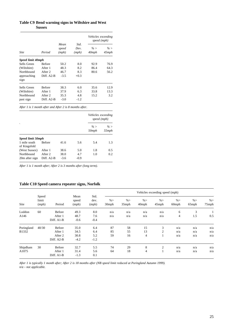#### **Table C9 Bend warning signs in Wiltshire and West Sussex**

|                     |               |                        |                       | Vehicles exceeding<br>speed (mph) |                    |  |
|---------------------|---------------|------------------------|-----------------------|-----------------------------------|--------------------|--|
| <b>Site</b>         | Period        | Mean<br>speed<br>(mph) | Std.<br>Dev.<br>(mph) | $\% >$<br>$40$ mph                | $\% >$<br>$45$ mph |  |
| Speed limit 40mph   |               |                        |                       |                                   |                    |  |
| Sells Green         | <b>Before</b> | 50.2                   | 8.0                   | 92.9                              | 76.9               |  |
| (Wiltshire)         | After 1       | 48.3                   | 8.2                   | 86.4                              | 64.3               |  |
| Northbound          | After 2       | 46.7                   | 8.3                   | 80.6                              | 56.2               |  |
| approaching<br>sign | Diff. A2-B    | $-3.5$                 | $+0.3$                |                                   |                    |  |
| Sells Green         | <b>Before</b> | 38.3                   | 6.0                   | 35.6                              | 12.9               |  |
| (Wiltshire)         | After 1       | 37.9                   | 6.3                   | 33.8                              | 13.3               |  |
| Northbound          | After 2       | 35.3                   | 4.8                   | 15.2                              | 3.2                |  |
| past sign           | Diff. A2-B    | $-3.0$                 | $-1.2$                |                                   |                    |  |

*After 1 is 1 month after and After 2 is 8 months after.*

|                              |                       |                |               |                 | Vehicles exceeding<br>speed (mph) |
|------------------------------|-----------------------|----------------|---------------|-----------------|-----------------------------------|
|                              |                       |                |               | $\% >$<br>50mph | $\% >$<br>55mph                   |
| Speed limit 50mph            |                       |                |               |                 |                                   |
| 1 mile south<br>of Kingsfold | <b>Before</b>         | 41.6           | 5.6           | 5.4             | 1.3                               |
| (West Sussex)                | After 1               | 38.6           | 5.0           | 1.8             | 0.5                               |
| Northbound<br>20m after sign | After 2<br>Diff. A2-B | 38.0<br>$-3.6$ | 4.7<br>$-0.9$ | 1.0             | 0.2                               |

*After 1 is 1 month after; After 2 is 3 months after (long term).*

## **Table C10 Speed camera repeater signs, Norfolk**

| Site       |                         | Period        |                        |                       | Vehicles exceeding speed (mph) |                    |                    |                    |                           |                 |              |
|------------|-------------------------|---------------|------------------------|-----------------------|--------------------------------|--------------------|--------------------|--------------------|---------------------------|-----------------|--------------|
|            | Speed<br>limit<br>(mph) |               | Mean<br>speed<br>(mph) | Std.<br>dev.<br>(mph) | $\% >$<br>30mph                | $\% >$<br>$35$ mph | $\% >$<br>$40$ mph | $\% >$<br>$45$ mph | $\%$<br>60 <sub>mph</sub> | % ><br>$65$ mph | % ><br>75mph |
| Loddon     | 60                      | Before        | 49.3                   | 8.0                   | n/a                            | n/a                | n/a                | n/a                | 6                         | 3               |              |
| A146       |                         | After 1       | 48.7                   | 7.6                   | n/a                            | n/a                | n/a                | n/a                | $\overline{4}$            | 1.5             | 0.5          |
|            |                         | Diff. A1-B    | $-0.6$                 | $-0.4$                |                                |                    |                    |                    |                           |                 |              |
| Poringland | 40/30                   | Before        | 35.0                   | 6.4                   | 87                             | 58                 | 15                 | 3                  | n/a                       | n/a             | n/a          |
| B1332      |                         | After 1       | 34.5                   | 6.4                   | 85                             | 55                 | 13                 | $\overline{2}$     | n/a                       | n/a             | n/a          |
|            |                         | After 2       | 30.8                   | 5.2                   | 59                             | 16                 | $\overline{4}$     |                    | n/a                       | n/a             | n/a          |
|            |                         | Diff. A2-B    | $-4.2$                 | $-1.2$                |                                |                    |                    |                    |                           |                 |              |
| Shipdham   | 30                      | <b>Before</b> | 32.7                   | 5.5                   | 74                             | 29                 | 8                  | $\overline{2}$     | n/a                       | n/a             | n/a          |
| A1075      |                         | After 1       | 31.4                   | 5.6                   | 64                             | 18                 | $\overline{4}$     |                    | n/a                       | n/a             | n/a          |
|            |                         | Diff. A1-B    | $-1.3$                 | 0.1                   |                                |                    |                    |                    |                           |                 |              |

*After 1 is typically 1 month after; After 2 is 18 months after (NB speed limit reduced at Poringland Autumn 1999). n/a - not applicable.*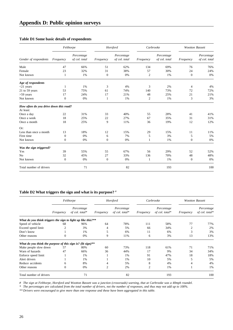## **Table D1 Some basic details of respondents**

|                                                     |           | Felthorpe                   |              | Horsford                    | Carbrooke      |                             | <b>Wootton Bassett</b> |                             |
|-----------------------------------------------------|-----------|-----------------------------|--------------|-----------------------------|----------------|-----------------------------|------------------------|-----------------------------|
| Gender of respondents                               | Frequency | Percentage<br>of col. total | Frequency    | Percentage<br>of col. total | Frequency      | Percentage<br>of col. total | Frequency              | Percentage<br>of col. total |
| Male                                                | 47        | 66%                         | 51           | 62%                         | 134            | 69%                         | 76                     | 76%                         |
| Female                                              | 23        | 32%                         | 31           | 38%                         | 57             | 30%                         | 24                     | 24%                         |
| Not known                                           | 1         | 1%                          | $\mathbf{0}$ | 0%                          | $\mathfrak{2}$ | 1%                          | $\mathbf{0}$           | 0%                          |
| Age of respondents                                  |           |                             |              |                             |                |                             |                        |                             |
| $<$ 21 years                                        | -1        | 1%                          | 3            | 4%                          | 3              | 2%                          | 4                      | 4%                          |
| 21 to 59 years                                      | 53        | 75%                         | 61           | 74%                         | 140            | 73%                         | 72                     | 72%                         |
| $>59$ years                                         | 17        | 24%                         | 17           | 21%                         | 48             | 25%                         | 21                     | 21%                         |
| Not known                                           | $\theta$  | 0%                          | 1            | 1%                          | $\mathfrak{2}$ | 1%                          | 3                      | 3%                          |
| How often do you drive down this road?<br>At least: |           |                             |              |                             |                |                             |                        |                             |
| Once a day                                          | 22        | 31%                         | 33           | 40%                         | 55             | 28%                         | 41                     | 41%                         |
| Once a week                                         | 18        | 25%                         | 22           | 27%                         | 67             | 35%                         | 31                     | 31%                         |
| Once a month                                        | 18        | 25%                         | 9            | 11%                         | 36             | 19%                         | 12                     | 12%                         |
| Or:                                                 |           |                             |              |                             |                |                             |                        |                             |
| Less than once a month                              | 13        | 18%                         | 12           | 15%                         | 29             | 15%                         | 11                     | 11%                         |
| First time                                          | $\Omega$  | 0%                          | 6            | 7%                          | 5              | 3%                          | 5                      | 5%                          |
| Not known                                           | $\Omega$  | 0%                          | $\mathbf{0}$ | 0%                          | 1              | 1%                          | $\mathbf{0}$           | 0%                          |
| Was the sign triggered?                             |           |                             |              |                             |                |                             |                        |                             |
| Yes                                                 | 39        | 55%                         | 55           | 67%                         | 56             | 29%                         | 52                     | 52%                         |
| N <sub>o</sub>                                      | 32        | 45%                         | 27           | 33%                         | 136            | 70%                         | 48                     | 48%                         |
| Not known                                           | $\Omega$  | 0%                          | $\theta$     | 0%                          | 1              | 1%                          | $\mathbf{0}$           | 0%                          |
| Total number of drivers                             |           | 71                          |              | 82                          |                | 193                         |                        | 100                         |

## **Table D2 What triggers the sign and what is its purpose? #**

|                                                              | Felthorpe |                              |           | Horsford                     | Carbrooke |                                | <b>Wootton Bassett</b> |                              |
|--------------------------------------------------------------|-----------|------------------------------|-----------|------------------------------|-----------|--------------------------------|------------------------|------------------------------|
|                                                              | Frequency | Percentage<br>of col. total* | Frequency | Percentage<br>of col. total* | Frequency | Percentage<br>$of$ col. total* | Frequency              | Percentage<br>of col. total* |
| What do you think triggers the sign to light up like this?** |           |                              |           |                              |           |                                |                        |                              |
| Speed of vehicle                                             | 68        | 96%                          | 64        | 78%                          | 111       | 58%                            | 77                     | 77%                          |
| Exceed speed limit                                           | 2         | 3%                           | 4         | 5%                           | 66        | 34%                            | $\overline{2}$         | 2%                           |
| Don't know                                                   |           | 1%                           | 5         | 6%                           | 11        | 6%                             | 3                      | 3%                           |
| Other reasons                                                | 0         | 0%                           | 9         | 11%                          | 6         | 3%                             | 13                     | 13%                          |
| What do you think the purpose of this sign is? (lit sign)**  |           |                              |           |                              |           |                                |                        |                              |
| Make people slow down                                        | 57        | 80%                          | 60        | 73%                          | 118       | 61%                            | 71                     | 71%                          |
| Warn of hazards                                              | 47        | 66%                          | 36        | 44%                          | 17        | 9%                             | 34                     | 34%                          |
| Enforce speed limit                                          |           | 1%                           |           | 1%                           | 91        | 47%                            | 18                     | 18%                          |
| Alert drivers                                                |           | 1%                           |           | 1%                           | 10        | 5%                             | 5                      | 5%                           |
| Reduce accidents                                             | 6         | 8%                           |           | 5%                           | 8         | 4%                             | 4                      | 4%                           |
| Other reasons                                                | 0         | 0%                           | 2         | 2%                           | 2         | 1%                             |                        | 1%                           |
| Total number of drivers                                      |           | 71                           |           | 82                           |           | 193                            |                        | 100                          |

*# The sign at Felthorpe, Horsford and Wootton Bassett was a junction (crossroads) warning, that at Carbrooke was a 40mph roundel.*

*\* The percentages are calculated from the total number of drivers, not the number of responses, and thus may not add up to 100%.*

*\*\* Drivers were encouraged to give more than one response and these have been aggregated in this table.*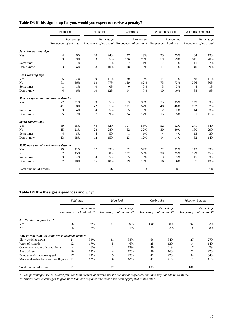## **Table D3 If this sign lit up for you, would you expect to receive a penalty?**

|                                       | Felthorpe |            |                | Horsford   |                | Carbrooke                                                                                                                             |                | Wootton Bassett |     | All sites combined |
|---------------------------------------|-----------|------------|----------------|------------|----------------|---------------------------------------------------------------------------------------------------------------------------------------|----------------|-----------------|-----|--------------------|
|                                       |           | Percentage |                | Percentage |                | Percentage<br>Frequency of col. total Frequency of col. total Frequency of col. total Frequency of col. total Frequency of col. total |                | Percentage      |     | Percentage         |
| Junction warning sign                 |           |            |                |            |                |                                                                                                                                       |                |                 |     |                    |
| Yes                                   | 4         | 6%         | 20             | 24%        | 37             | 19%                                                                                                                                   | 23             | 23%             | 84  | 19%                |
| No                                    | 63        | 89%        | 53             | 65%        | 136            | 70%                                                                                                                                   | 59             | 59%             | 311 | 70%                |
| Sometimes                             | 1         | 1%         | 1              | 1%         | $\overline{2}$ | 1%                                                                                                                                    | 7              | 7%              | 11  | 2%                 |
| Don't know                            | 3         | 4%         | 8              | 10%        | 18             | 9%                                                                                                                                    | 11             | 11%             | 40  | 9%                 |
| <b>Bend warning sign</b>              |           |            |                |            |                |                                                                                                                                       |                |                 |     |                    |
| Yes                                   | 5         | 7%         | 9              | 11%        | 20             | 10%                                                                                                                                   | 14             | 14%             | 48  | 11%                |
| N <sub>o</sub>                        | 61        | 86%        | 63             | 77%        | 159            | 82%                                                                                                                                   | 73             | 73%             | 356 | 80%                |
| Sometimes                             | 1         | 1%         | $\theta$       | 0%         | $\mathbf{0}$   | 0%                                                                                                                                    | 3              | 3%              | 4   | 1%                 |
| Don't know                            | 4         | 6%         | 10             | 12%        | 14             | 7%                                                                                                                                    | 10             | 10%             | 38  | 9%                 |
| 30mph sign without microwave detector |           |            |                |            |                |                                                                                                                                       |                |                 |     |                    |
| Yes                                   | 22        | 31%        | 29             | 35%        | 63             | 33%                                                                                                                                   | 35             | 35%             | 149 | 33%                |
| N <sub>0</sub>                        | 41        | 58%        | 42             | 51%        | 101            | 52%                                                                                                                                   | 48             | 48%             | 232 | 52%                |
| Sometimes                             | 3         | 4%         | 4              | 5%         | 5              | 3%                                                                                                                                    | $\overline{2}$ | 2%              | 14  | 3%                 |
| Don't know                            | 5         | 7%         | 7              | 9%         | 24             | 12%                                                                                                                                   | 15             | 15%             | 51  | 11%                |
| Speed camera logo                     |           |            |                |            |                |                                                                                                                                       |                |                 |     |                    |
| Yes                                   | 39        | 55%        | 43             | 52%        | 107            | 55%                                                                                                                                   | 52             | 52%             | 241 | 54%                |
| N <sub>0</sub>                        | 15        | 21%        | 23             | 28%        | 62             | 32%                                                                                                                                   | 30             | 30%             | 130 | 29%                |
| Sometimes                             | 4         | 6%         | $\overline{4}$ | 5%         | 1              | 1%                                                                                                                                    | $\overline{4}$ | 4%              | 13  | 3%                 |
| Don't know                            | 13        | 18%        | 12             | 15%        | 23             | 12%                                                                                                                                   | 14             | 14%             | 62  | 14%                |
| 30/40mph sign with microwave detector |           |            |                |            |                |                                                                                                                                       |                |                 |     |                    |
| Yes                                   | 29        | 41%        | 32             | 39%        | 62             | 32%                                                                                                                                   | 52             | 52%             | 175 | 39%                |
| N <sub>o</sub>                        | 32        | 45%        | 31             | 38%        | 107            | 55%                                                                                                                                   | 29             | 29%             | 199 | 45%                |
| Sometimes                             | 3         | 4%         | $\overline{4}$ | 5%         | 5              | 3%                                                                                                                                    | 3              | 3%              | 15  | 3%                 |
| Don't know                            | 7         | 10%        | 15             | 18%        | 19             | 10%                                                                                                                                   | 16             | 16%             | 57  | 13%                |
| Total number of drivers               |           | 71         |                | 82         |                | 193                                                                                                                                   |                | 100             |     | 446                |

## **Table D4 Are the signs a good idea and why?**

|                                                   | Felthorpe      |                              |           | Horsford                        | Carbrooke |                              | <b>Wootton Bassett</b> |                              |
|---------------------------------------------------|----------------|------------------------------|-----------|---------------------------------|-----------|------------------------------|------------------------|------------------------------|
|                                                   | Frequency      | Percentage<br>of col. total* | Frequency | Percentage<br>of col. total $*$ | Frequency | Percentage<br>of col. total* | Frequency              | Percentage<br>of col. total* |
| Are the signs a good idea?                        |                |                              |           |                                 |           |                              |                        |                              |
| Yes                                               | 66             | 93%                          | 81        | 99%                             | 190       | 98%                          | 92                     | 92%                          |
| No                                                | 5              | 7%                           |           | 1%                              | 3         | 2%                           | 8                      | 8%                           |
| Why do you think the signs are a good/bad idea?** |                |                              |           |                                 |           |                              |                        |                              |
| Slow vehicles down                                | 24             | 34%                          | 31        | 38%                             | 66        | 34%                          | 27                     | 27%                          |
| Warn of hazards                                   | 12             | 17%                          | 5         | 6%                              | 25        | 13%                          | 14                     | 14%                          |
| Obey/more aware of speed limits                   | $\overline{4}$ | 6%                           | 11        | 13%                             | 40        | 21%                          | 7                      | 7%                           |
| Alert drivers                                     | 10             | 14%                          | 14        | 17%                             | 30        | 16%                          | 22                     | 22%                          |
| Draw attention to own speed                       | 17             | 24%                          | 19        | 23%                             | 42        | 22%                          | 34                     | 34%                          |
| More noticeable because they light up             | 11             | 15%                          | 8         | 10%                             | 41        | 21%                          | 11                     | 11%                          |
| Total number of drivers                           | 71             |                              | 82        |                                 | 193       |                              | 100                    |                              |

*\* The percentages are calculated from the total number of drivers, not the number of responses, and thus may not add up to 100%.*

*\*\* Drivers were encouraged to give more than one response and these have been aggregated in this table.*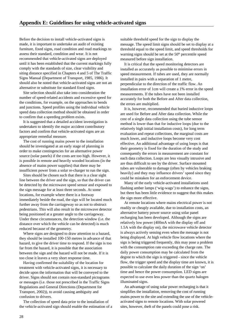Before the decision to install vehicle-activated signs is made, it is important to undertake an audit of existing furniture, fixed signs, road condition and road markings to assess their standard, condition and wear. It is not recommended that vehicle-activated signs are deployed until it has been established that the current markings fully comply with the standards of size, clear visibility and siting distance specified in Chapters 4 and 5 of The Traffic Signs Manual (Department of Transport, 1985, 1986). It should also be noted that vehicle-activated signs are not an alternative or substitute for standard fixed signs.

Site selection should also take into consideration the number of speed-related accidents and excessive speed for the conditions, for example, on the approaches to bends and junctions. Speed profiles using the individual vehicle speed data collection method should be obtained in order to confirm that a speeding problem exists.

It is suggested that a detailed accident investigation is undertaken to identify the major accident contributory factors and confirm that vehicle-activated signs are an appropriate remedial measure.

The cost of running mains power to the installation should be investigated at an early stage of planning in order to make contingencies for an alternative power source (solar panels) if the costs are too high. However, it is possible in remote and heavily wooded locations (in the absence of mains power supplies) that there may be insufficient power from a solar re-charger to run the sign.

Sites should be chosen such that there is a clear sight line between the driver and the sign, so that the driver can be detected by the microwave speed sensor and exposed to the sign message for at least three seconds. At some locations, for example where there is a footway immediately beside the road, the sign will be located much further away from the carriageway so as not to obstruct pedestrians. This will also result in the microwave detector being positioned at a greater angle to the carriageway. Under these circumstances, the detection window (i.e. the distance over which the vehicle can be detected) is much reduced because of the geometry.

Where signs are designed to draw attention to a hazard, they should be installed 100-150 metres in advance of that hazard, to give the driver time to respond. If the sign is too far from the hazard, it is possible that the association between the sign and the hazard will not be made. If it is too close it leaves a very short response time.

Having confirmed the suitability of the location for treatment with vehicle-activated signs, it is necessary to decide upon the information that will be conveyed to the driver. Signs should not contain non-standard pictograms or messages (i.e. those not prescribed in the Traffic Signs Regulations and General Directions (Department for Transport, 2002)), to avoid causing ambiguity and confusion to drivers.

The collection of speed data prior to the installation of the vehicle-activated sign should enable the estimation of a suitable threshold speed for the sign to display the message. The speed limit signs should be set to display at a threshold equal to the speed limit, and speed thresholds for warning signs should be set at the 50<sup>th</sup> percentile speed measured before sign installation.

It is critical that the speed monitoring detectors are installed as accurately as possible to minimise errors in speed measurement. If tubes are used, they are normally installed in pairs with a separation of 1 metre, perpendicular to the direction of the traffic flow. An installation error of 1cm will create a 1% error in the speed measurements. If the tubes have not been installed accurately for both the Before and After data collection, the errors are multiplied.

It is, however, recommended that buried inductive loops are used for Before and After data collection. While the cost of a single data collection using the tube sensor method is lower than that for inductive loops (due to the relatively high initial installation costs), for long term evaluation and repeat collections, the marginal costs are much lower, and inductive loops become very cost effective. An additional advantage of using loops is that their geometry is fixed for the duration of the study and consequently the errors in measurement are constant for each data collection. Loops are less visually intrusive and are thus difficult to see by the driver. Surface mounted tubes are vulnerable to damage (often by vehicles braking heavily) and they may influence drivers' speed since they could be mistaken for an enforcement device.

Many of the early vehicle-activated installations used flashing amber lamps ('wig-wags') to enhance the signs, but there has been little evidence to suggest that this makes the sign more effective.

At remote locations where mains electrical power is not readily or cheaply available, due to installation costs, an alternative battery power source using solar panel recharging has been developed. Although the signs are relatively low power (400mA with the display off and 1.5A with the display on), the microwave vehicle detector is always actively sensing even when the message is not being displayed. At high vehicle flow locations where the sign is being triggered frequently, this may pose a problem with the consumption rate exceeding the charge rate. The daily power consumption may be calculated from the degree to which the sign is triggered - since the vehicle flow, the trigger speed and the display time are known, it is possible to calculate the daily duration of the sign 'on' time and hence the power consumption. LED signs are expected to use even less power than the quartz halogen illuminated signs.

An advantage of using solar power recharging is that it simplifies the installation, removing the cost of running mains power to the site and extending the use of the vehicleactivated signs to remote locations. With solar powered sites, however, theft of the panels could pose a risk.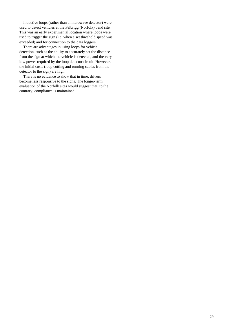Inductive loops (rather than a microwave detector) were used to detect vehicles at the Felbrigg (Norfolk) bend site. This was an early experimental location where loops were used to trigger the sign (i.e. when a set threshold speed was exceeded) and for connection to the data loggers.

There are advantages in using loops for vehicle detection, such as the ability to accurately set the distance from the sign at which the vehicle is detected, and the very low power required by the loop detector circuit. However, the initial costs (loop cutting and running cables from the detector to the sign) are high.

There is no evidence to show that in time, drivers become less responsive to the signs. The longer-term evaluation of the Norfolk sites would suggest that, to the contrary, compliance is maintained.